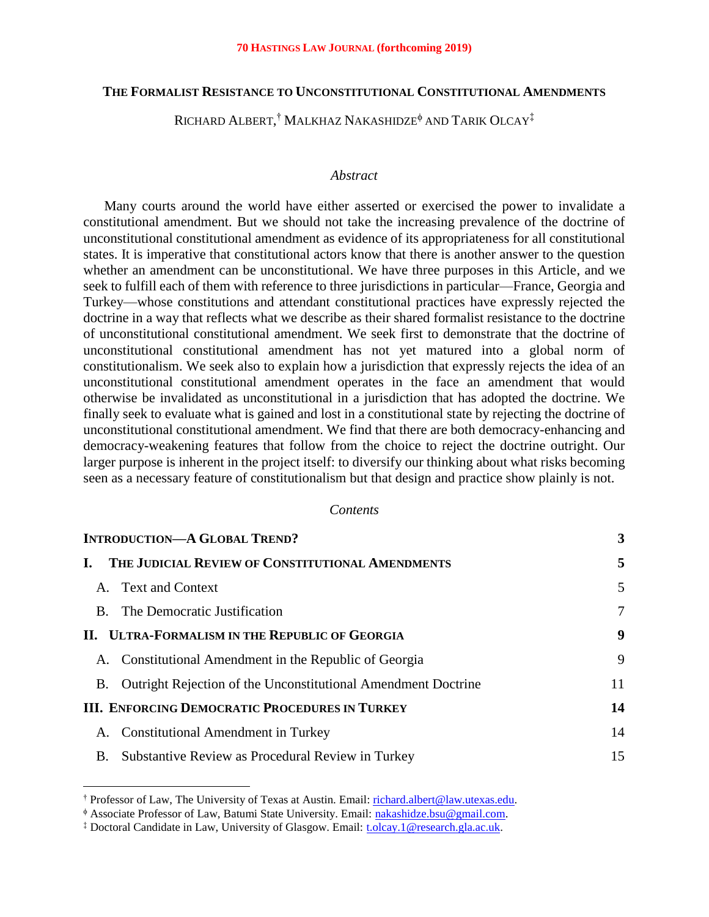### **THE FORMALIST RESISTANCE TO UNCONSTITUTIONAL CONSTITUTIONAL AMENDMENTS**

Richard Albert, † Malkhaz Nakashidze $^\phi$  and Tarik Olcay  $^\ddag$ 

#### *Abstract*

Many courts around the world have either asserted or exercised the power to invalidate a constitutional amendment. But we should not take the increasing prevalence of the doctrine of unconstitutional constitutional amendment as evidence of its appropriateness for all constitutional states. It is imperative that constitutional actors know that there is another answer to the question whether an amendment can be unconstitutional. We have three purposes in this Article, and we seek to fulfill each of them with reference to three jurisdictions in particular—France, Georgia and Turkey—whose constitutions and attendant constitutional practices have expressly rejected the doctrine in a way that reflects what we describe as their shared formalist resistance to the doctrine of unconstitutional constitutional amendment. We seek first to demonstrate that the doctrine of unconstitutional constitutional amendment has not yet matured into a global norm of constitutionalism. We seek also to explain how a jurisdiction that expressly rejects the idea of an unconstitutional constitutional amendment operates in the face an amendment that would otherwise be invalidated as unconstitutional in a jurisdiction that has adopted the doctrine. We finally seek to evaluate what is gained and lost in a constitutional state by rejecting the doctrine of unconstitutional constitutional amendment. We find that there are both democracy-enhancing and democracy-weakening features that follow from the choice to reject the doctrine outright. Our larger purpose is inherent in the project itself: to diversify our thinking about what risks becoming seen as a necessary feature of constitutionalism but that design and practice show plainly is not.

#### *Contents*

| <b>INTRODUCTION-A GLOBAL TREND?</b>                   |                                                                  | 3  |
|-------------------------------------------------------|------------------------------------------------------------------|----|
|                                                       | THE JUDICIAL REVIEW OF CONSTITUTIONAL AMENDMENTS                 | 5  |
|                                                       | A. Text and Context                                              | 5  |
|                                                       | B. The Democratic Justification                                  | 7  |
| II. ULTRA-FORMALISM IN THE REPUBLIC OF GEORGIA        |                                                                  | 9  |
|                                                       | A. Constitutional Amendment in the Republic of Georgia           | 9  |
|                                                       | B. Outright Rejection of the Unconstitutional Amendment Doctrine | 11 |
| <b>III. ENFORCING DEMOCRATIC PROCEDURES IN TURKEY</b> |                                                                  | 14 |
|                                                       | A. Constitutional Amendment in Turkey                            | 14 |
| <b>B.</b>                                             | Substantive Review as Procedural Review in Turkey                | 15 |

<sup>†</sup> Professor of Law, The University of Texas at Austin. Email: [richard.albert@law.utexas.edu.](mailto:richard.albert@law.utexas.edu)

Associate Professor of Law, Batumi State University. Email: [nakashidze.bsu@gmail.com.](mailto:nakashidze.bsu@gmail.com)

<sup>‡</sup> Doctoral Candidate in Law, University of Glasgow. Email: [t.olcay.1@research.gla.ac.uk.](mailto:t.olcay.1@research.gla.ac.uk)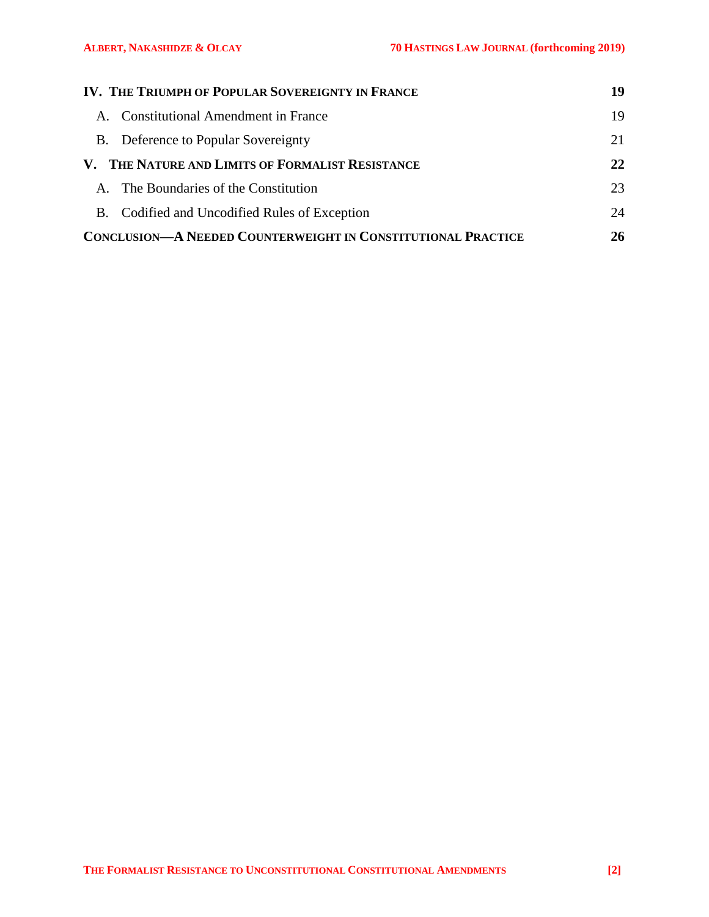| IV. THE TRIUMPH OF POPULAR SOVEREIGNTY IN FRANCE                    | 19 |
|---------------------------------------------------------------------|----|
| <b>Constitutional Amendment in France</b><br>$\mathbf{A}$           | 19 |
| B. Deference to Popular Sovereignty                                 | 21 |
| V. THE NATURE AND LIMITS OF FORMALIST RESISTANCE                    |    |
| A. The Boundaries of the Constitution                               | 23 |
| B. Codified and Uncodified Rules of Exception                       | 24 |
| <b>CONCLUSION—A NEEDED COUNTERWEIGHT IN CONSTITUTIONAL PRACTICE</b> |    |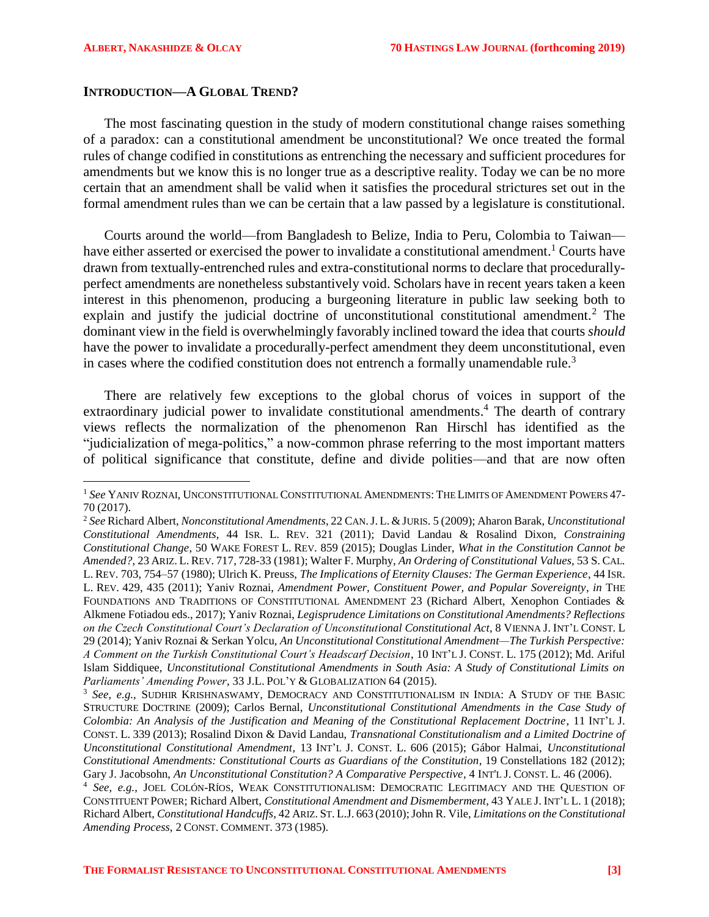l

#### <span id="page-2-0"></span>**INTRODUCTION—A GLOBAL TREND?**

The most fascinating question in the study of modern constitutional change raises something of a paradox: can a constitutional amendment be unconstitutional? We once treated the formal rules of change codified in constitutions as entrenching the necessary and sufficient procedures for amendments but we know this is no longer true as a descriptive reality. Today we can be no more certain that an amendment shall be valid when it satisfies the procedural strictures set out in the formal amendment rules than we can be certain that a law passed by a legislature is constitutional.

<span id="page-2-2"></span>Courts around the world—from Bangladesh to Belize, India to Peru, Colombia to Taiwan have either asserted or exercised the power to invalidate a constitutional amendment.<sup>1</sup> Courts have drawn from textually-entrenched rules and extra-constitutional norms to declare that procedurallyperfect amendments are nonetheless substantively void. Scholars have in recent years taken a keen interest in this phenomenon, producing a burgeoning literature in public law seeking both to explain and justify the judicial doctrine of unconstitutional constitutional amendment.<sup>2</sup> The dominant view in the field is overwhelmingly favorably inclined toward the idea that courts *should*  have the power to invalidate a procedurally-perfect amendment they deem unconstitutional, even in cases where the codified constitution does not entrench a formally unamendable rule.<sup>3</sup>

<span id="page-2-1"></span>There are relatively few exceptions to the global chorus of voices in support of the extraordinary judicial power to invalidate constitutional amendments.<sup>4</sup> The dearth of contrary views reflects the normalization of the phenomenon Ran Hirschl has identified as the "judicialization of mega-politics," a now-common phrase referring to the most important matters of political significance that constitute, define and divide polities—and that are now often

<sup>1</sup> *See* YANIV ROZNAI, UNCONSTITUTIONAL CONSTITUTIONAL AMENDMENTS: THE LIMITS OF AMENDMENT POWERS 47- 70 (2017).

<sup>2</sup> *See* Richard Albert, *Nonconstitutional Amendments*, 22 CAN.J. L. &JURIS. 5 (2009); Aharon Barak, *Unconstitutional Constitutional Amendments*, 44 ISR. L. REV. 321 (2011); David Landau & Rosalind Dixon, *Constraining Constitutional Change*, 50 WAKE FOREST L. REV. 859 (2015); Douglas Linder, *What in the Constitution Cannot be Amended?*, 23 ARIZ. L. REV. 717, 728-33 (1981); Walter F. Murphy, *An Ordering of Constitutional Values*, 53 S. CAL. L. REV. 703, 754–57 (1980); Ulrich K. Preuss, *The Implications of Eternity Clauses: The German Experience*, 44 ISR. L. REV. 429, 435 (2011); Yaniv Roznai, *Amendment Power, Constituent Power, and Popular Sovereignty*, *in* THE FOUNDATIONS AND TRADITIONS OF CONSTITUTIONAL AMENDMENT 23 (Richard Albert, Xenophon Contiades & Alkmene Fotiadou eds., 2017); Yaniv Roznai, *Legisprudence Limitations on Constitutional Amendments? Reflections on the Czech Constitutional Court's Declaration of Unconstitutional Constitutional Act*, 8 VIENNA J. INT'L CONST. L 29 (2014); Yaniv Roznai & Serkan Yolcu, *An Unconstitutional Constitutional Amendment—The Turkish Perspective: A Comment on the Turkish Constitutional Court's Headscarf Decision*, 10 INT'L J. CONST. L. 175 (2012); Md. Ariful Islam Siddiquee, *Unconstitutional Constitutional Amendments in South Asia: A Study of Constitutional Limits on Parliaments' Amending Power*, 33 J.L. POL'Y & GLOBALIZATION 64 (2015).

<sup>&</sup>lt;sup>3</sup> See, e.g., SUDHIR KRISHNASWAMY, DEMOCRACY AND CONSTITUTIONALISM IN INDIA: A STUDY OF THE BASIC STRUCTURE DOCTRINE (2009); Carlos Bernal, *Unconstitutional Constitutional Amendments in the Case Study of Colombia: An Analysis of the Justification and Meaning of the Constitutional Replacement Doctrine*, 11 INT'L J. CONST. L. 339 (2013); Rosalind Dixon & David Landau, *Transnational Constitutionalism and a Limited Doctrine of Unconstitutional Constitutional Amendment*, 13 INT'L J. CONST. L. 606 (2015); Gábor Halmai, *Unconstitutional Constitutional Amendments: Constitutional Courts as Guardians of the Constitution*, 19 Constellations 182 (2012); Gary J. Jacobsohn, *An Unconstitutional Constitution? A Comparative Perspective*, 4 INT'L J. CONST. L. 46 (2006).

<sup>4</sup> *See, e.g.*, JOEL COLÓN-RÍOS, WEAK CONSTITUTIONALISM: DEMOCRATIC LEGITIMACY AND THE QUESTION OF CONSTITUENT POWER; Richard Albert, *Constitutional Amendment and Dismemberment*, 43 YALE J. INT'L L. 1 (2018); Richard Albert, *Constitutional Handcuffs*, 42 ARIZ. ST. L.J. 663 (2010);John R. Vile, *Limitations on the Constitutional Amending Process*, 2 CONST. COMMENT. 373 (1985).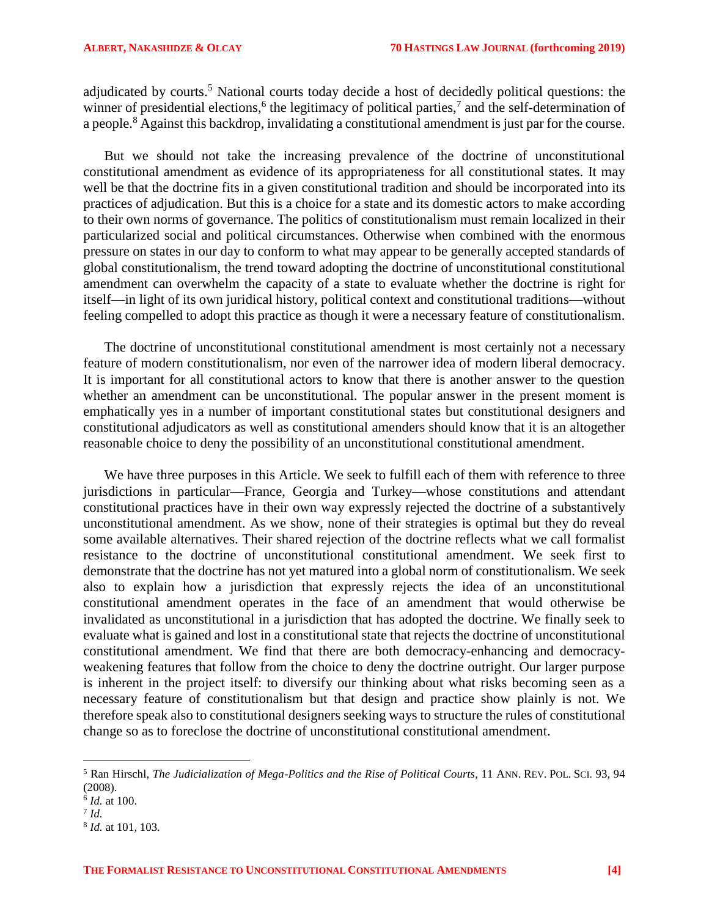adjudicated by courts.<sup>5</sup> National courts today decide a host of decidedly political questions: the winner of presidential elections,<sup>6</sup> the legitimacy of political parties,<sup>7</sup> and the self-determination of a people.<sup>8</sup> Against this backdrop, invalidating a constitutional amendment is just par for the course.

But we should not take the increasing prevalence of the doctrine of unconstitutional constitutional amendment as evidence of its appropriateness for all constitutional states. It may well be that the doctrine fits in a given constitutional tradition and should be incorporated into its practices of adjudication. But this is a choice for a state and its domestic actors to make according to their own norms of governance. The politics of constitutionalism must remain localized in their particularized social and political circumstances. Otherwise when combined with the enormous pressure on states in our day to conform to what may appear to be generally accepted standards of global constitutionalism, the trend toward adopting the doctrine of unconstitutional constitutional amendment can overwhelm the capacity of a state to evaluate whether the doctrine is right for itself—in light of its own juridical history, political context and constitutional traditions—without feeling compelled to adopt this practice as though it were a necessary feature of constitutionalism.

The doctrine of unconstitutional constitutional amendment is most certainly not a necessary feature of modern constitutionalism, nor even of the narrower idea of modern liberal democracy. It is important for all constitutional actors to know that there is another answer to the question whether an amendment can be unconstitutional. The popular answer in the present moment is emphatically yes in a number of important constitutional states but constitutional designers and constitutional adjudicators as well as constitutional amenders should know that it is an altogether reasonable choice to deny the possibility of an unconstitutional constitutional amendment.

We have three purposes in this Article. We seek to fulfill each of them with reference to three jurisdictions in particular—France, Georgia and Turkey—whose constitutions and attendant constitutional practices have in their own way expressly rejected the doctrine of a substantively unconstitutional amendment. As we show, none of their strategies is optimal but they do reveal some available alternatives. Their shared rejection of the doctrine reflects what we call formalist resistance to the doctrine of unconstitutional constitutional amendment. We seek first to demonstrate that the doctrine has not yet matured into a global norm of constitutionalism. We seek also to explain how a jurisdiction that expressly rejects the idea of an unconstitutional constitutional amendment operates in the face of an amendment that would otherwise be invalidated as unconstitutional in a jurisdiction that has adopted the doctrine. We finally seek to evaluate what is gained and lost in a constitutional state that rejects the doctrine of unconstitutional constitutional amendment. We find that there are both democracy-enhancing and democracyweakening features that follow from the choice to deny the doctrine outright. Our larger purpose is inherent in the project itself: to diversify our thinking about what risks becoming seen as a necessary feature of constitutionalism but that design and practice show plainly is not. We therefore speak also to constitutional designers seeking ways to structure the rules of constitutional change so as to foreclose the doctrine of unconstitutional constitutional amendment.

l

<sup>5</sup> Ran Hirschl, *The Judicialization of Mega-Politics and the Rise of Political Courts*, 11 ANN. REV. POL. SCI. 93, 94 (2008).

<sup>6</sup> *Id.* at 100.

<sup>7</sup> *Id.*

<sup>8</sup> *Id.* at 101, 103.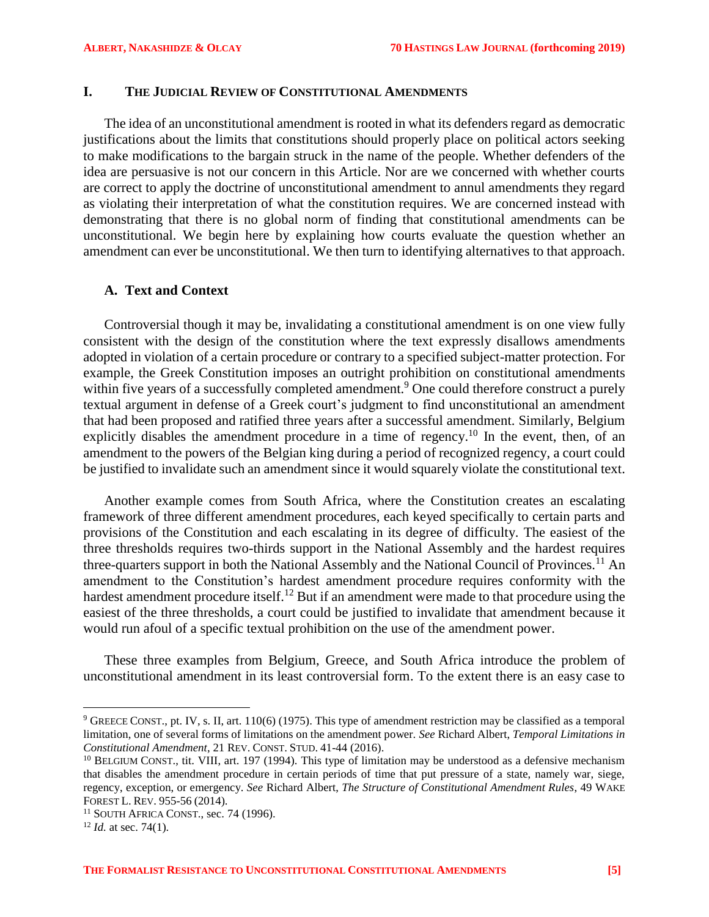### <span id="page-4-0"></span>**I. THE JUDICIAL REVIEW OF CONSTITUTIONAL AMENDMENTS**

The idea of an unconstitutional amendment is rooted in what its defenders regard as democratic justifications about the limits that constitutions should properly place on political actors seeking to make modifications to the bargain struck in the name of the people. Whether defenders of the idea are persuasive is not our concern in this Article. Nor are we concerned with whether courts are correct to apply the doctrine of unconstitutional amendment to annul amendments they regard as violating their interpretation of what the constitution requires. We are concerned instead with demonstrating that there is no global norm of finding that constitutional amendments can be unconstitutional. We begin here by explaining how courts evaluate the question whether an amendment can ever be unconstitutional. We then turn to identifying alternatives to that approach.

### <span id="page-4-1"></span>**A. Text and Context**

Controversial though it may be, invalidating a constitutional amendment is on one view fully consistent with the design of the constitution where the text expressly disallows amendments adopted in violation of a certain procedure or contrary to a specified subject-matter protection. For example, the Greek Constitution imposes an outright prohibition on constitutional amendments within five years of a successfully completed amendment.<sup>9</sup> One could therefore construct a purely textual argument in defense of a Greek court's judgment to find unconstitutional an amendment that had been proposed and ratified three years after a successful amendment. Similarly, Belgium explicitly disables the amendment procedure in a time of regency.<sup>10</sup> In the event, then, of an amendment to the powers of the Belgian king during a period of recognized regency, a court could be justified to invalidate such an amendment since it would squarely violate the constitutional text.

Another example comes from South Africa, where the Constitution creates an escalating framework of three different amendment procedures, each keyed specifically to certain parts and provisions of the Constitution and each escalating in its degree of difficulty. The easiest of the three thresholds requires two-thirds support in the National Assembly and the hardest requires three-quarters support in both the National Assembly and the National Council of Provinces.<sup>11</sup> An amendment to the Constitution's hardest amendment procedure requires conformity with the hardest amendment procedure itself.<sup>12</sup> But if an amendment were made to that procedure using the easiest of the three thresholds, a court could be justified to invalidate that amendment because it would run afoul of a specific textual prohibition on the use of the amendment power.

These three examples from Belgium, Greece, and South Africa introduce the problem of unconstitutional amendment in its least controversial form. To the extent there is an easy case to

<sup>9</sup> GREECE CONST., pt. IV, s. II, art. 110(6) (1975). This type of amendment restriction may be classified as a temporal limitation, one of several forms of limitations on the amendment power. *See* Richard Albert, *Temporal Limitations in Constitutional Amendment*, 21 REV. CONST. STUD. 41-44 (2016).

<sup>&</sup>lt;sup>10</sup> BELGIUM CONST., tit. VIII, art. 197 (1994). This type of limitation may be understood as a defensive mechanism that disables the amendment procedure in certain periods of time that put pressure of a state, namely war, siege, regency, exception, or emergency. *See* Richard Albert, *The Structure of Constitutional Amendment Rules*, 49 WAKE FOREST L. REV. 955-56 (2014).

 $11$  SOUTH AFRICA CONST., sec. 74 (1996).

<sup>12</sup> *Id.* at sec. 74(1).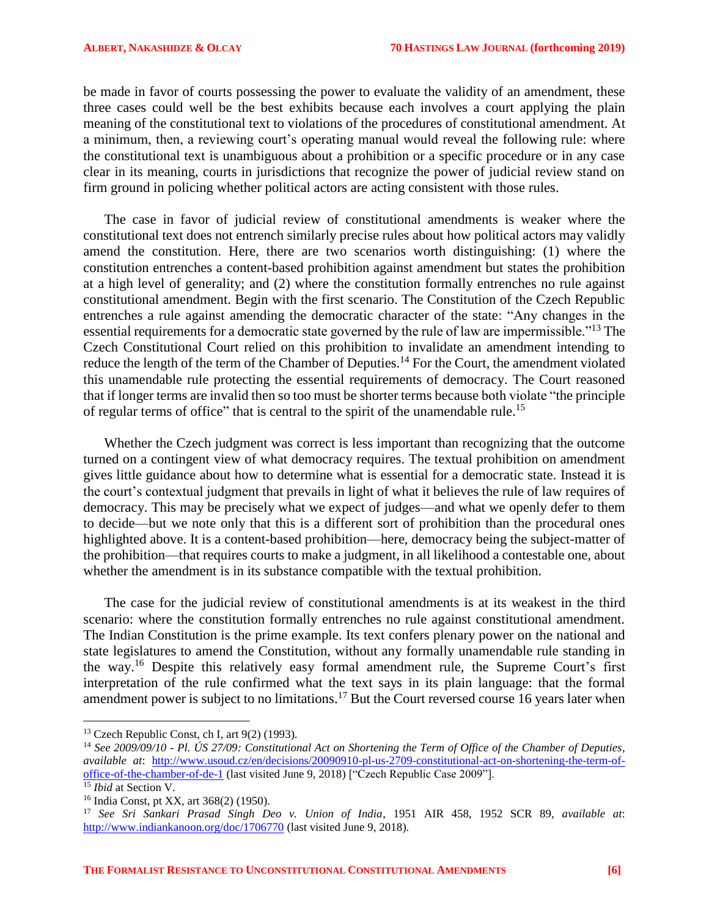be made in favor of courts possessing the power to evaluate the validity of an amendment, these three cases could well be the best exhibits because each involves a court applying the plain meaning of the constitutional text to violations of the procedures of constitutional amendment. At a minimum, then, a reviewing court's operating manual would reveal the following rule: where the constitutional text is unambiguous about a prohibition or a specific procedure or in any case clear in its meaning, courts in jurisdictions that recognize the power of judicial review stand on firm ground in policing whether political actors are acting consistent with those rules.

The case in favor of judicial review of constitutional amendments is weaker where the constitutional text does not entrench similarly precise rules about how political actors may validly amend the constitution. Here, there are two scenarios worth distinguishing: (1) where the constitution entrenches a content-based prohibition against amendment but states the prohibition at a high level of generality; and (2) where the constitution formally entrenches no rule against constitutional amendment. Begin with the first scenario. The Constitution of the Czech Republic entrenches a rule against amending the democratic character of the state: "Any changes in the essential requirements for a democratic state governed by the rule of law are impermissible."<sup>13</sup> The Czech Constitutional Court relied on this prohibition to invalidate an amendment intending to reduce the length of the term of the Chamber of Deputies.<sup>14</sup> For the Court, the amendment violated this unamendable rule protecting the essential requirements of democracy. The Court reasoned that if longer terms are invalid then so too must be shorter terms because both violate "the principle of regular terms of office" that is central to the spirit of the unamendable rule.<sup>15</sup>

Whether the Czech judgment was correct is less important than recognizing that the outcome turned on a contingent view of what democracy requires. The textual prohibition on amendment gives little guidance about how to determine what is essential for a democratic state. Instead it is the court's contextual judgment that prevails in light of what it believes the rule of law requires of democracy. This may be precisely what we expect of judges—and what we openly defer to them to decide—but we note only that this is a different sort of prohibition than the procedural ones highlighted above. It is a content-based prohibition—here, democracy being the subject-matter of the prohibition—that requires courts to make a judgment, in all likelihood a contestable one, about whether the amendment is in its substance compatible with the textual prohibition.

The case for the judicial review of constitutional amendments is at its weakest in the third scenario: where the constitution formally entrenches no rule against constitutional amendment. The Indian Constitution is the prime example. Its text confers plenary power on the national and state legislatures to amend the Constitution, without any formally unamendable rule standing in the way.<sup>16</sup> Despite this relatively easy formal amendment rule, the Supreme Court's first interpretation of the rule confirmed what the text says in its plain language: that the formal amendment power is subject to no limitations.<sup>17</sup> But the Court reversed course 16 years later when

 $\overline{a}$ 

<sup>&</sup>lt;sup>13</sup> Czech Republic Const, ch I, art  $9(2)$  (1993).

<sup>14</sup> *See 2009/09/10 - Pl. ÚS 27/09: Constitutional Act on Shortening the Term of Office of the Chamber of Deputies*, *available at*: [http://www.usoud.cz/en/decisions/20090910-pl-us-2709-constitutional-act-on-shortening-the-term-of](http://www.usoud.cz/en/decisions/20090910-pl-us-2709-constitutional-act-on-shortening-the-term-of-office-of-the-chamber-of-de-1)[office-of-the-chamber-of-de-1](http://www.usoud.cz/en/decisions/20090910-pl-us-2709-constitutional-act-on-shortening-the-term-of-office-of-the-chamber-of-de-1) (last visited June 9, 2018) ["Czech Republic Case 2009"].

<sup>15</sup> *Ibid* at Section V.

<sup>16</sup> India Const, pt XX, art 368(2) (1950).

<sup>17</sup> *See Sri Sankari Prasad Singh Deo v. Union of India*, 1951 AIR 458, 1952 SCR 89, *available at*: <http://www.indiankanoon.org/doc/1706770> (last visited June 9, 2018).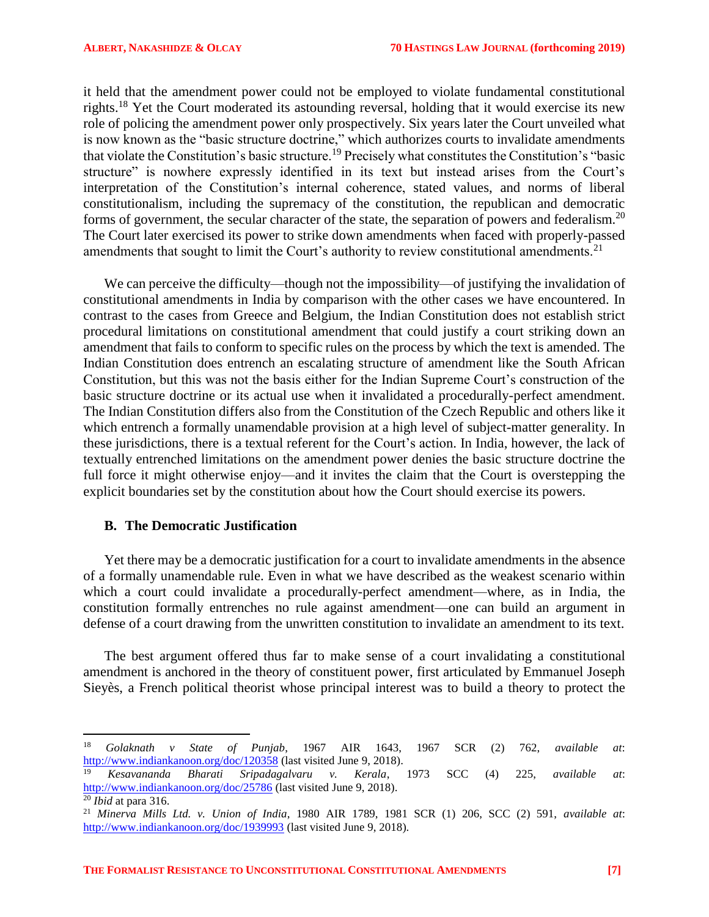it held that the amendment power could not be employed to violate fundamental constitutional rights.<sup>18</sup> Yet the Court moderated its astounding reversal, holding that it would exercise its new role of policing the amendment power only prospectively. Six years later the Court unveiled what is now known as the "basic structure doctrine," which authorizes courts to invalidate amendments that violate the Constitution's basic structure.<sup>19</sup> Precisely what constitutes the Constitution's "basic structure" is nowhere expressly identified in its text but instead arises from the Court's interpretation of the Constitution's internal coherence, stated values, and norms of liberal constitutionalism, including the supremacy of the constitution, the republican and democratic forms of government, the secular character of the state, the separation of powers and federalism.<sup>20</sup> The Court later exercised its power to strike down amendments when faced with properly-passed amendments that sought to limit the Court's authority to review constitutional amendments.<sup>21</sup>

We can perceive the difficulty—though not the impossibility—of justifying the invalidation of constitutional amendments in India by comparison with the other cases we have encountered. In contrast to the cases from Greece and Belgium, the Indian Constitution does not establish strict procedural limitations on constitutional amendment that could justify a court striking down an amendment that fails to conform to specific rules on the process by which the text is amended. The Indian Constitution does entrench an escalating structure of amendment like the South African Constitution, but this was not the basis either for the Indian Supreme Court's construction of the basic structure doctrine or its actual use when it invalidated a procedurally-perfect amendment. The Indian Constitution differs also from the Constitution of the Czech Republic and others like it which entrench a formally unamendable provision at a high level of subject-matter generality. In these jurisdictions, there is a textual referent for the Court's action. In India, however, the lack of textually entrenched limitations on the amendment power denies the basic structure doctrine the full force it might otherwise enjoy—and it invites the claim that the Court is overstepping the explicit boundaries set by the constitution about how the Court should exercise its powers.

### <span id="page-6-0"></span>**B. The Democratic Justification**

Yet there may be a democratic justification for a court to invalidate amendments in the absence of a formally unamendable rule. Even in what we have described as the weakest scenario within which a court could invalidate a procedurally-perfect amendment—where, as in India, the constitution formally entrenches no rule against amendment—one can build an argument in defense of a court drawing from the unwritten constitution to invalidate an amendment to its text.

The best argument offered thus far to make sense of a court invalidating a constitutional amendment is anchored in the theory of constituent power, first articulated by Emmanuel Joseph Sieyès, a French political theorist whose principal interest was to build a theory to protect the

<sup>18</sup> *Golaknath v State of Punjab*, 1967 AIR 1643, 1967 SCR (2) 762, *available at*: <http://www.indiankanoon.org/doc/120358> (last visited June 9, 2018).

<sup>19</sup> *Kesavananda Bharati Sripadagalvaru v. Kerala*, 1973 SCC (4) 225, *available at*: <http://www.indiankanoon.org/doc/25786> (last visited June 9, 2018).

 $\overline{20}$  *Ibid* at para 316.

<sup>21</sup> *Minerva Mills Ltd. v. Union of India*, 1980 AIR 1789, 1981 SCR (1) 206, SCC (2) 591, *available at*: <http://www.indiankanoon.org/doc/1939993> (last visited June 9, 2018).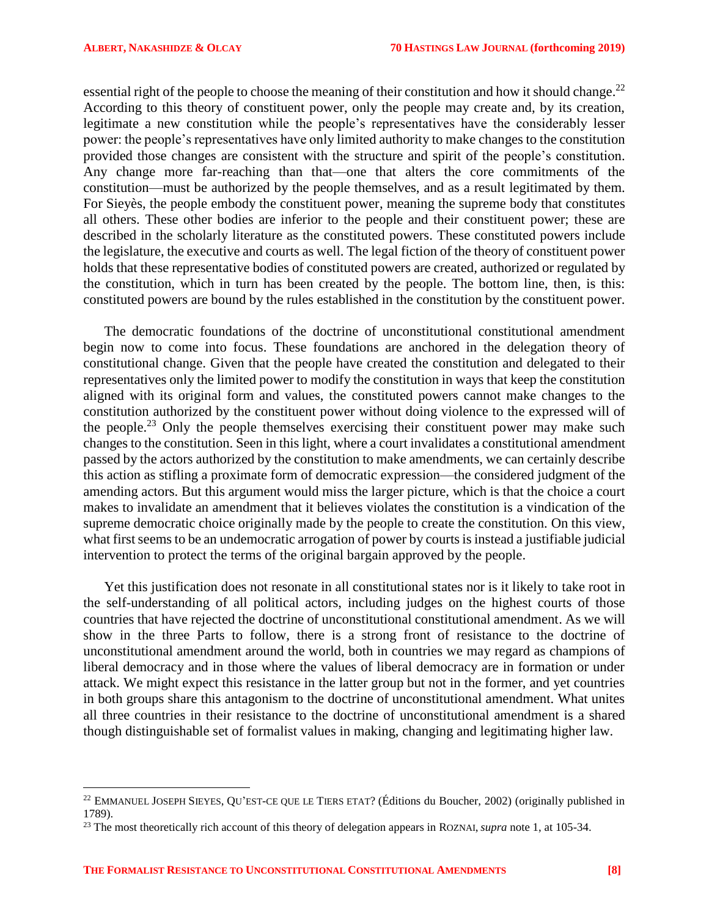$\overline{\phantom{a}}$ 

essential right of the people to choose the meaning of their constitution and how it should change.<sup>22</sup> According to this theory of constituent power, only the people may create and, by its creation, legitimate a new constitution while the people's representatives have the considerably lesser power: the people's representatives have only limited authority to make changes to the constitution provided those changes are consistent with the structure and spirit of the people's constitution. Any change more far-reaching than that—one that alters the core commitments of the constitution—must be authorized by the people themselves, and as a result legitimated by them. For Sieyès, the people embody the constituent power, meaning the supreme body that constitutes all others. These other bodies are inferior to the people and their constituent power; these are described in the scholarly literature as the constituted powers. These constituted powers include the legislature, the executive and courts as well. The legal fiction of the theory of constituent power holds that these representative bodies of constituted powers are created, authorized or regulated by the constitution, which in turn has been created by the people. The bottom line, then, is this: constituted powers are bound by the rules established in the constitution by the constituent power.

The democratic foundations of the doctrine of unconstitutional constitutional amendment begin now to come into focus. These foundations are anchored in the delegation theory of constitutional change. Given that the people have created the constitution and delegated to their representatives only the limited power to modify the constitution in ways that keep the constitution aligned with its original form and values, the constituted powers cannot make changes to the constitution authorized by the constituent power without doing violence to the expressed will of the people.<sup>23</sup> Only the people themselves exercising their constituent power may make such changes to the constitution. Seen in this light, where a court invalidates a constitutional amendment passed by the actors authorized by the constitution to make amendments, we can certainly describe this action as stifling a proximate form of democratic expression—the considered judgment of the amending actors. But this argument would miss the larger picture, which is that the choice a court makes to invalidate an amendment that it believes violates the constitution is a vindication of the supreme democratic choice originally made by the people to create the constitution. On this view, what first seems to be an undemocratic arrogation of power by courts is instead a justifiable judicial intervention to protect the terms of the original bargain approved by the people.

Yet this justification does not resonate in all constitutional states nor is it likely to take root in the self-understanding of all political actors, including judges on the highest courts of those countries that have rejected the doctrine of unconstitutional constitutional amendment. As we will show in the three Parts to follow, there is a strong front of resistance to the doctrine of unconstitutional amendment around the world, both in countries we may regard as champions of liberal democracy and in those where the values of liberal democracy are in formation or under attack. We might expect this resistance in the latter group but not in the former, and yet countries in both groups share this antagonism to the doctrine of unconstitutional amendment. What unites all three countries in their resistance to the doctrine of unconstitutional amendment is a shared though distinguishable set of formalist values in making, changing and legitimating higher law.

<sup>22</sup> EMMANUEL JOSEPH SIEYES, QU'EST-CE QUE LE TIERS ETAT? (Éditions du Boucher, 2002) (originally published in 1789).

<sup>23</sup> The most theoretically rich account of this theory of delegation appears in ROZNAI, *supra* note 1, at 105-34.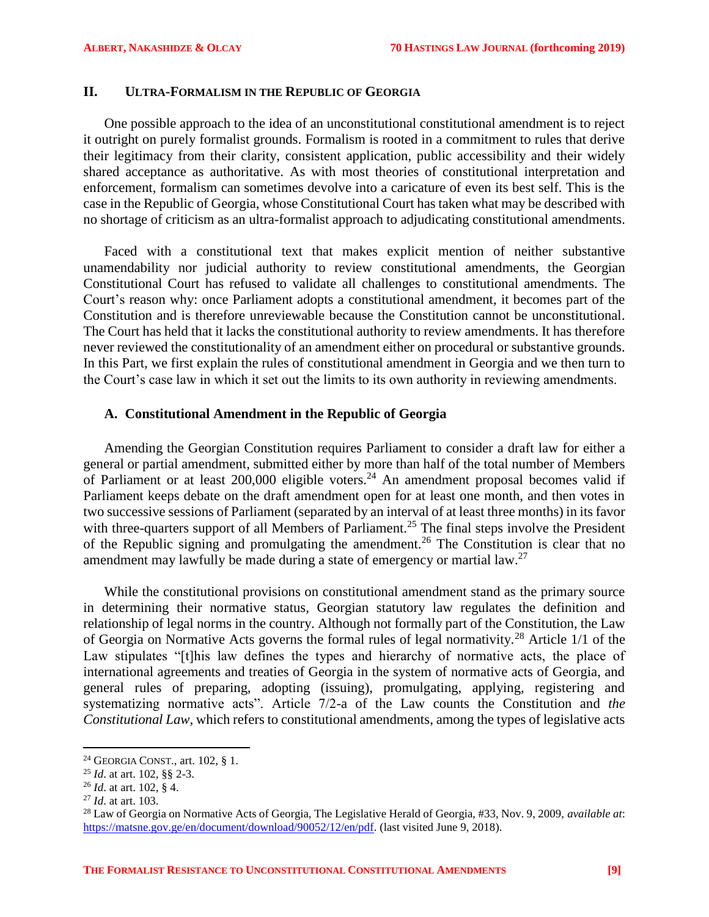# <span id="page-8-0"></span>**II. ULTRA-FORMALISM IN THE REPUBLIC OF GEORGIA**

One possible approach to the idea of an unconstitutional constitutional amendment is to reject it outright on purely formalist grounds. Formalism is rooted in a commitment to rules that derive their legitimacy from their clarity, consistent application, public accessibility and their widely shared acceptance as authoritative. As with most theories of constitutional interpretation and enforcement, formalism can sometimes devolve into a caricature of even its best self. This is the case in the Republic of Georgia, whose Constitutional Court has taken what may be described with no shortage of criticism as an ultra-formalist approach to adjudicating constitutional amendments.

Faced with a constitutional text that makes explicit mention of neither substantive unamendability nor judicial authority to review constitutional amendments, the Georgian Constitutional Court has refused to validate all challenges to constitutional amendments. The Court's reason why: once Parliament adopts a constitutional amendment, it becomes part of the Constitution and is therefore unreviewable because the Constitution cannot be unconstitutional. The Court has held that it lacks the constitutional authority to review amendments. It has therefore never reviewed the constitutionality of an amendment either on procedural or substantive grounds. In this Part, we first explain the rules of constitutional amendment in Georgia and we then turn to the Court's case law in which it set out the limits to its own authority in reviewing amendments.

## <span id="page-8-1"></span>**A. Constitutional Amendment in the Republic of Georgia**

Amending the Georgian Constitution requires Parliament to consider a draft law for either a general or partial amendment, submitted either by more than half of the total number of Members of Parliament or at least  $200,000$  eligible voters.<sup>24</sup> An amendment proposal becomes valid if Parliament keeps debate on the draft amendment open for at least one month, and then votes in two successive sessions of Parliament (separated by an interval of at least three months) in its favor with three-quarters support of all Members of Parliament.<sup>25</sup> The final steps involve the President of the Republic signing and promulgating the amendment.<sup>26</sup> The Constitution is clear that no amendment may lawfully be made during a state of emergency or martial law.<sup>27</sup>

While the constitutional provisions on constitutional amendment stand as the primary source in determining their normative status, Georgian statutory law regulates the definition and relationship of legal norms in the country. Although not formally part of the Constitution, the Law of Georgia on Normative Acts governs the formal rules of legal normativity.<sup>28</sup> Article 1/1 of the Law stipulates "[t]his law defines the types and hierarchy of normative acts, the place of international agreements and treaties of Georgia in the system of normative acts of Georgia, and general rules of preparing, adopting (issuing), promulgating, applying, registering and systematizing normative acts". Article 7/2-a of the Law counts the Constitution and *the Constitutional Law*, which refers to constitutional amendments, among the types of legislative acts

<sup>24</sup> GEORGIA CONST., art. 102, § 1.

<sup>25</sup> *Id*. at art. 102, §§ 2-3.

<sup>26</sup> *Id*. at art. 102, § 4.

<sup>27</sup> *Id*. at art. 103.

<sup>28</sup> Law of Georgia on Normative Acts of Georgia, The Legislative Herald of Georgia, #33, Nov. 9, 2009, *available at*: [https://matsne.gov.ge/en/document/download/90052/12/en/pdf.](https://matsne.gov.ge/en/document/download/90052/12/en/pdf) (last visited June 9, 2018).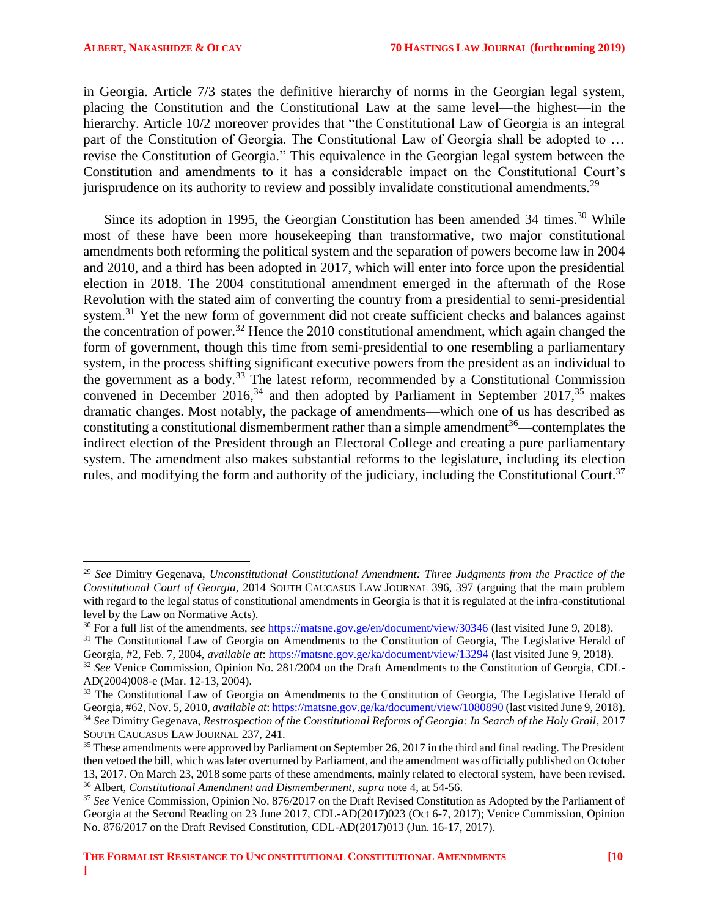$\overline{a}$ 

in Georgia. Article 7/3 states the definitive hierarchy of norms in the Georgian legal system, placing the Constitution and the Constitutional Law at the same level—the highest—in the hierarchy. Article 10/2 moreover provides that "the Constitutional Law of Georgia is an integral part of the Constitution of Georgia. The Constitutional Law of Georgia shall be adopted to … revise the Constitution of Georgia." This equivalence in the Georgian legal system between the Constitution and amendments to it has a considerable impact on the Constitutional Court's jurisprudence on its authority to review and possibly invalidate constitutional amendments.<sup>29</sup>

Since its adoption in 1995, the Georgian Constitution has been amended 34 times.<sup>30</sup> While most of these have been more housekeeping than transformative, two major constitutional amendments both reforming the political system and the separation of powers become law in 2004 and 2010, and a third has been adopted in 2017, which will enter into force upon the presidential election in 2018. The 2004 constitutional amendment emerged in the aftermath of the Rose Revolution with the stated aim of converting the country from a presidential to semi-presidential system.<sup>31</sup> Yet the new form of government did not create sufficient checks and balances against the concentration of power.<sup>32</sup> Hence the 2010 constitutional amendment, which again changed the form of government, though this time from semi-presidential to one resembling a parliamentary system, in the process shifting significant executive powers from the president as an individual to the government as a body.<sup>33</sup> The latest reform, recommended by a Constitutional Commission convened in December 2016,<sup>34</sup> and then adopted by Parliament in September 2017,<sup>35</sup> makes dramatic changes. Most notably, the package of amendments—which one of us has described as constituting a constitutional dismemberment rather than a simple amendment $36$ —contemplates the indirect election of the President through an Electoral College and creating a pure parliamentary system. The amendment also makes substantial reforms to the legislature, including its election rules, and modifying the form and authority of the judiciary, including the Constitutional Court.<sup>37</sup>

<sup>29</sup> *See* Dimitry Gegenava, *Unconstitutional Constitutional Amendment: Three Judgments from the Practice of the Constitutional Court of Georgia*, 2014 SOUTH CAUCASUS LAW JOURNAL 396, 397 (arguing that the main problem with regard to the legal status of constitutional amendments in Georgia is that it is regulated at the infra-constitutional level by the Law on Normative Acts).

<sup>30</sup> For a full list of the amendments, *see* <https://matsne.gov.ge/en/document/view/30346> (last visited June 9, 2018).

<sup>&</sup>lt;sup>31</sup> The Constitutional Law of Georgia on Amendments to the Constitution of Georgia, The Legislative Herald of Georgia, #2, Feb. 7, 2004, *available at*:<https://matsne.gov.ge/ka/document/view/13294> (last visited June 9, 2018).

<sup>&</sup>lt;sup>32</sup> See Venice Commission, Opinion No. 281/2004 on the Draft Amendments to the Constitution of Georgia, CDL-AD(2004)008-e (Mar. 12-13, 2004).

<sup>&</sup>lt;sup>33</sup> The Constitutional Law of Georgia on Amendments to the Constitution of Georgia, The Legislative Herald of Georgia, #62, Nov. 5, 2010, *available at*[: https://matsne.gov.ge/ka/document/view/1080890](https://matsne.gov.ge/ka/document/view/1080890) (last visited June 9, 2018). <sup>34</sup> *See* Dimitry Gegenava, *Restrospection of the Constitutional Reforms of Georgia: In Search of the Holy Grail*, 2017 SOUTH CAUCASUS LAW JOURNAL 237, 241.

<sup>&</sup>lt;sup>35</sup> These amendments were approved by Parliament on September 26, 2017 in the third and final reading. The President then vetoed the bill, which was later overturned by Parliament, and the amendment was officially published on October 13, 2017. On March 23, 2018 some parts of these amendments, mainly related to electoral system, have been revised. <sup>36</sup> Albert, *Constitutional Amendment and Dismemberment*, *supra* note [4,](#page-2-1) at 54-56.

<sup>37</sup> *See* Venice Commission, Opinion No. 876/2017 on the Draft Revised Constitution as Adopted by the Parliament of Georgia at the Second Reading on 23 June 2017, CDL-AD(2017)023 (Oct 6-7, 2017); Venice Commission, Opinion No. 876/2017 on the Draft Revised Constitution, CDL-AD(2017)013 (Jun. 16-17, 2017).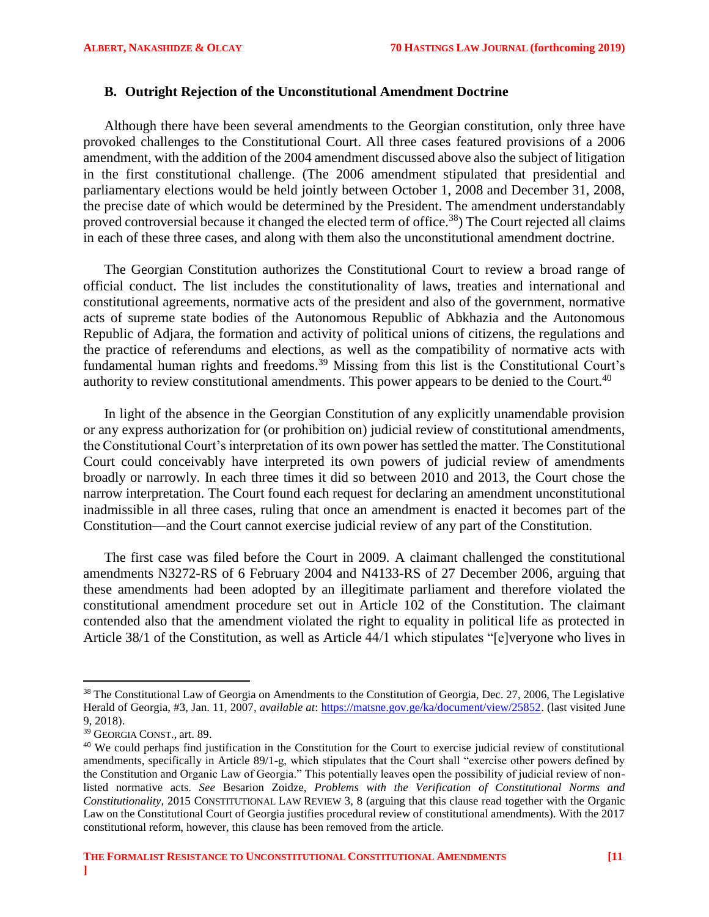## <span id="page-10-0"></span>**B. Outright Rejection of the Unconstitutional Amendment Doctrine**

Although there have been several amendments to the Georgian constitution, only three have provoked challenges to the Constitutional Court. All three cases featured provisions of a 2006 amendment, with the addition of the 2004 amendment discussed above also the subject of litigation in the first constitutional challenge. (The 2006 amendment stipulated that presidential and parliamentary elections would be held jointly between October 1, 2008 and December 31, 2008, the precise date of which would be determined by the President. The amendment understandably proved controversial because it changed the elected term of office.<sup>38</sup>) The Court rejected all claims in each of these three cases, and along with them also the unconstitutional amendment doctrine.

The Georgian Constitution authorizes the Constitutional Court to review a broad range of official conduct. The list includes the constitutionality of laws, treaties and international and constitutional agreements, normative acts of the president and also of the government, normative acts of supreme state bodies of the Autonomous Republic of Abkhazia and the Autonomous Republic of Adjara, the formation and activity of political unions of citizens, the regulations and the practice of referendums and elections, as well as the compatibility of normative acts with fundamental human rights and freedoms.<sup>39</sup> Missing from this list is the Constitutional Court's authority to review constitutional amendments. This power appears to be denied to the Court.<sup>40</sup>

In light of the absence in the Georgian Constitution of any explicitly unamendable provision or any express authorization for (or prohibition on) judicial review of constitutional amendments, the Constitutional Court's interpretation of its own power has settled the matter. The Constitutional Court could conceivably have interpreted its own powers of judicial review of amendments broadly or narrowly. In each three times it did so between 2010 and 2013, the Court chose the narrow interpretation. The Court found each request for declaring an amendment unconstitutional inadmissible in all three cases, ruling that once an amendment is enacted it becomes part of the Constitution—and the Court cannot exercise judicial review of any part of the Constitution.

The first case was filed before the Court in 2009. A claimant challenged the constitutional amendments N3272-RS of 6 February 2004 and N4133-RS of 27 December 2006, arguing that these amendments had been adopted by an illegitimate parliament and therefore violated the constitutional amendment procedure set out in Article 102 of the Constitution. The claimant contended also that the amendment violated the right to equality in political life as protected in Article 38/1 of the Constitution, as well as Article 44/1 which stipulates "[e]veryone who lives in

l

<sup>&</sup>lt;sup>38</sup> The Constitutional Law of Georgia on Amendments to the Constitution of Georgia, Dec. 27, 2006, The Legislative Herald of Georgia, #3, Jan. 11, 2007, *available at*: [https://matsne.gov.ge/ka/document/view/25852.](https://matsne.gov.ge/ka/document/view/25852) (last visited June 9, 2018).

<sup>39</sup> GEORGIA CONST., art. 89.

 $40$  We could perhaps find justification in the Constitution for the Court to exercise judicial review of constitutional amendments, specifically in Article 89/1-g, which stipulates that the Court shall "exercise other powers defined by the Constitution and Organic Law of Georgia." This potentially leaves open the possibility of judicial review of nonlisted normative acts. *See* Besarion Zoidze, *Problems with the Verification of Constitutional Norms and Constitutionality*, 2015 CONSTITUTIONAL LAW REVIEW 3, 8 (arguing that this clause read together with the Organic Law on the Constitutional Court of Georgia justifies procedural review of constitutional amendments). With the 2017 constitutional reform, however, this clause has been removed from the article.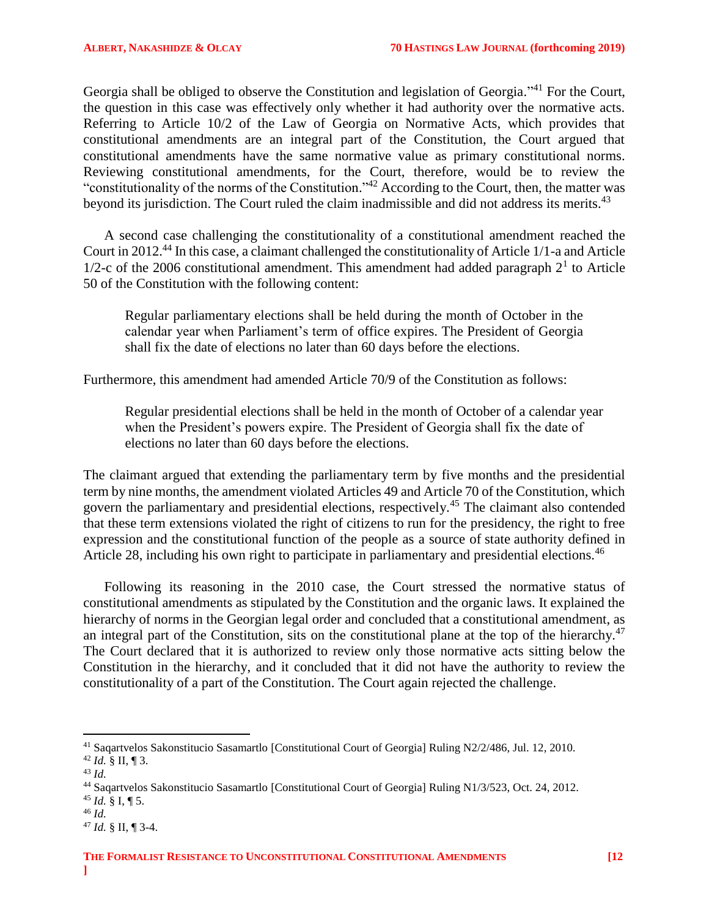Georgia shall be obliged to observe the Constitution and legislation of Georgia."<sup>41</sup> For the Court, the question in this case was effectively only whether it had authority over the normative acts. Referring to Article 10/2 of the Law of Georgia on Normative Acts, which provides that constitutional amendments are an integral part of the Constitution, the Court argued that constitutional amendments have the same normative value as primary constitutional norms. Reviewing constitutional amendments, for the Court, therefore, would be to review the "constitutionality of the norms of the Constitution."<sup>42</sup> According to the Court, then, the matter was beyond its jurisdiction. The Court ruled the claim inadmissible and did not address its merits.<sup>43</sup>

A second case challenging the constitutionality of a constitutional amendment reached the Court in 2012.<sup>44</sup> In this case, a claimant challenged the constitutionality of Article 1/1-a and Article  $1/2$ -c of the 2006 constitutional amendment. This amendment had added paragraph  $2<sup>1</sup>$  to Article 50 of the Constitution with the following content:

Regular parliamentary elections shall be held during the month of October in the calendar year when Parliament's term of office expires. The President of Georgia shall fix the date of elections no later than 60 days before the elections.

Furthermore, this amendment had amended Article 70/9 of the Constitution as follows:

Regular presidential elections shall be held in the month of October of a calendar year when the President's powers expire. The President of Georgia shall fix the date of elections no later than 60 days before the elections.

The claimant argued that extending the parliamentary term by five months and the presidential term by nine months, the amendment violated Articles 49 and Article 70 of the Constitution, which govern the parliamentary and presidential elections, respectively.<sup>45</sup> The claimant also contended that these term extensions violated the right of citizens to run for the presidency, the right to free expression and the constitutional function of the people as a source of state authority defined in Article 28, including his own right to participate in parliamentary and presidential elections.<sup>46</sup>

Following its reasoning in the 2010 case, the Court stressed the normative status of constitutional amendments as stipulated by the Constitution and the organic laws. It explained the hierarchy of norms in the Georgian legal order and concluded that a constitutional amendment, as an integral part of the Constitution, sits on the constitutional plane at the top of the hierarchy.<sup>47</sup> The Court declared that it is authorized to review only those normative acts sitting below the Constitution in the hierarchy, and it concluded that it did not have the authority to review the constitutionality of a part of the Constitution. The Court again rejected the challenge.

- <sup>45</sup> *Id.* § I, ¶ 5.
- <sup>46</sup> *Id.*

<sup>41</sup> Saqartvelos Sakonstitucio Sasamartlo [Constitutional Court of Georgia] Ruling N2/2/486, Jul. 12, 2010.

 $42$  *Id.* § II, ¶ 3.

<sup>43</sup> *Id.* 

<sup>44</sup> Saqartvelos Sakonstitucio Sasamartlo [Constitutional Court of Georgia] Ruling N1/3/523, Oct. 24, 2012.

<sup>47</sup> *Id.* § II, ¶ 3-4.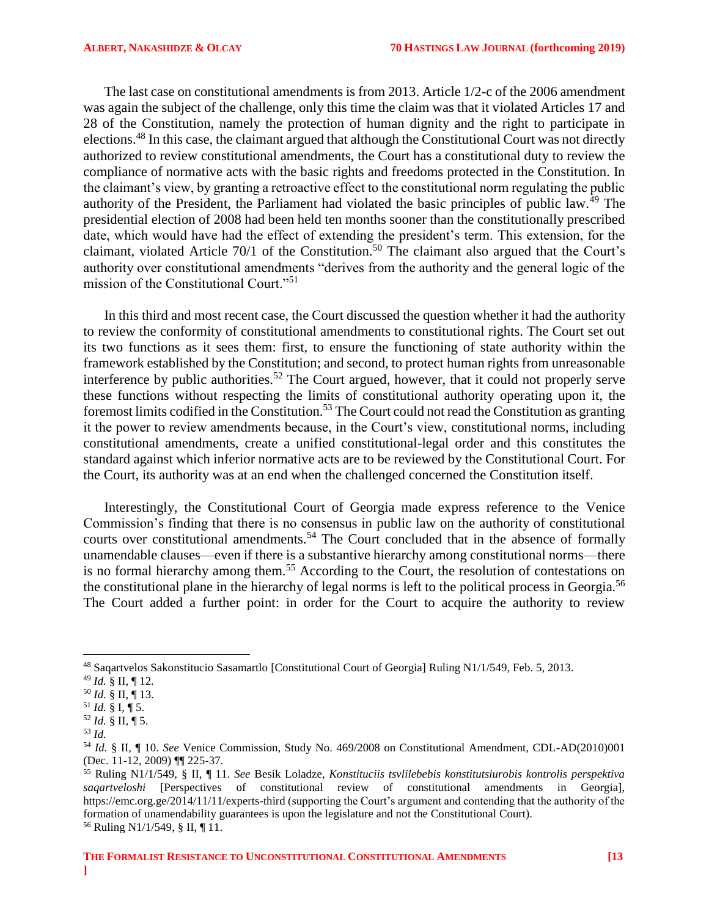The last case on constitutional amendments is from 2013. Article 1/2-c of the 2006 amendment was again the subject of the challenge, only this time the claim was that it violated Articles 17 and 28 of the Constitution, namely the protection of human dignity and the right to participate in elections.<sup>48</sup> In this case, the claimant argued that although the Constitutional Court was not directly authorized to review constitutional amendments, the Court has a constitutional duty to review the compliance of normative acts with the basic rights and freedoms protected in the Constitution. In the claimant's view, by granting a retroactive effect to the constitutional norm regulating the public authority of the President, the Parliament had violated the basic principles of public law.<sup>49</sup> The presidential election of 2008 had been held ten months sooner than the constitutionally prescribed date, which would have had the effect of extending the president's term. This extension, for the claimant, violated Article 70/1 of the Constitution.<sup>50</sup> The claimant also argued that the Court's authority over constitutional amendments "derives from the authority and the general logic of the mission of the Constitutional Court."<sup>51</sup>

In this third and most recent case, the Court discussed the question whether it had the authority to review the conformity of constitutional amendments to constitutional rights. The Court set out its two functions as it sees them: first, to ensure the functioning of state authority within the framework established by the Constitution; and second, to protect human rights from unreasonable interference by public authorities.<sup>52</sup> The Court argued, however, that it could not properly serve these functions without respecting the limits of constitutional authority operating upon it, the foremost limits codified in the Constitution.<sup>53</sup> The Court could not read the Constitution as granting it the power to review amendments because, in the Court's view, constitutional norms, including constitutional amendments, create a unified constitutional-legal order and this constitutes the standard against which inferior normative acts are to be reviewed by the Constitutional Court. For the Court, its authority was at an end when the challenged concerned the Constitution itself.

Interestingly, the Constitutional Court of Georgia made express reference to the Venice Commission's finding that there is no consensus in public law on the authority of constitutional courts over constitutional amendments.<sup>54</sup> The Court concluded that in the absence of formally unamendable clauses—even if there is a substantive hierarchy among constitutional norms—there is no formal hierarchy among them.<sup>55</sup> According to the Court, the resolution of contestations on the constitutional plane in the hierarchy of legal norms is left to the political process in Georgia.<sup>56</sup> The Court added a further point: in order for the Court to acquire the authority to review

<sup>48</sup> Saqartvelos Sakonstitucio Sasamartlo [Constitutional Court of Georgia] Ruling N1/1/549, Feb. 5, 2013.

<sup>49</sup> *Id.* § II, ¶ 12.

<sup>50</sup> *Id.* § II, ¶ 13.

 $^{51}$  *Id.* § I, ¶ 5.

 $52$  *Id.* § II, ¶ 5.

<sup>53</sup> *Id.*

<sup>54</sup> *Id.* § II, ¶ 10. *See* Venice Commission, Study No. 469/2008 on Constitutional Amendment, CDL-AD(2010)001 (Dec. 11-12, 2009) ¶¶ 225-37.

<sup>55</sup> Ruling N1/1/549, § II, ¶ 11. *See* Besik Loladze, *Konstituciis tsvlilebebis konstitutsiurobis kontrolis perspektiva saqartveloshi* [Perspectives of constitutional review of constitutional amendments in Georgia], https://emc.org.ge/2014/11/11/experts-third (supporting the Court's argument and contending that the authority of the formation of unamendability guarantees is upon the legislature and not the Constitutional Court). <sup>56</sup> Ruling N1/1/549, § II, ¶ 11.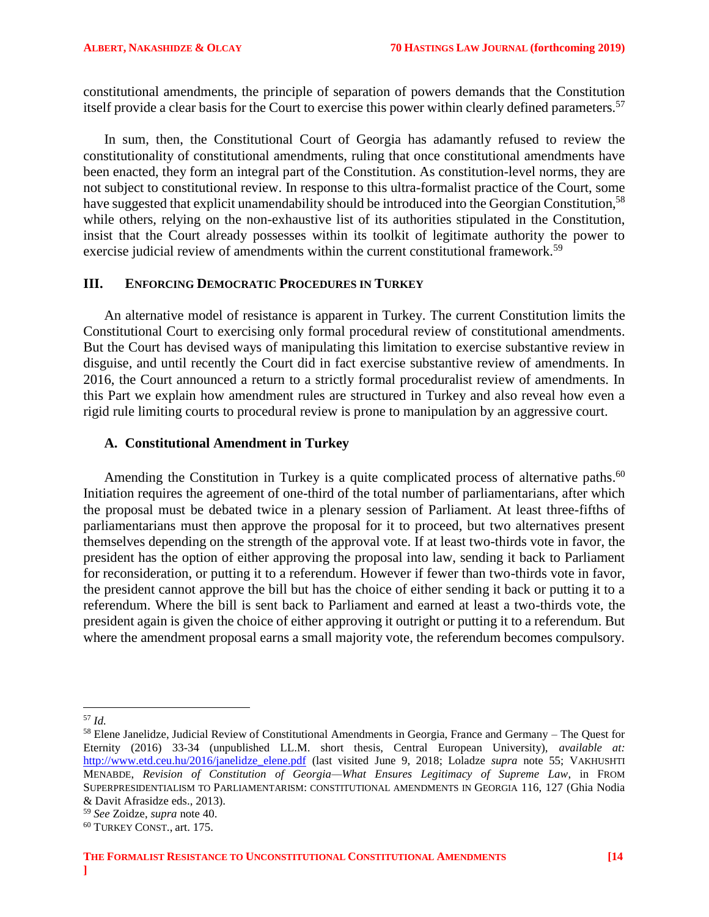constitutional amendments, the principle of separation of powers demands that the Constitution itself provide a clear basis for the Court to exercise this power within clearly defined parameters.<sup>57</sup>

In sum, then, the Constitutional Court of Georgia has adamantly refused to review the constitutionality of constitutional amendments, ruling that once constitutional amendments have been enacted, they form an integral part of the Constitution. As constitution-level norms, they are not subject to constitutional review. In response to this ultra-formalist practice of the Court, some have suggested that explicit unamendability should be introduced into the Georgian Constitution,<sup>58</sup> while others, relying on the non-exhaustive list of its authorities stipulated in the Constitution, insist that the Court already possesses within its toolkit of legitimate authority the power to exercise judicial review of amendments within the current constitutional framework.<sup>59</sup>

### <span id="page-13-0"></span>**III. ENFORCING DEMOCRATIC PROCEDURES IN TURKEY**

An alternative model of resistance is apparent in Turkey. The current Constitution limits the Constitutional Court to exercising only formal procedural review of constitutional amendments. But the Court has devised ways of manipulating this limitation to exercise substantive review in disguise, and until recently the Court did in fact exercise substantive review of amendments. In 2016, the Court announced a return to a strictly formal proceduralist review of amendments. In this Part we explain how amendment rules are structured in Turkey and also reveal how even a rigid rule limiting courts to procedural review is prone to manipulation by an aggressive court.

# <span id="page-13-1"></span>**A. Constitutional Amendment in Turkey**

Amending the Constitution in Turkey is a quite complicated process of alternative paths.<sup>60</sup> Initiation requires the agreement of one-third of the total number of parliamentarians, after which the proposal must be debated twice in a plenary session of Parliament. At least three-fifths of parliamentarians must then approve the proposal for it to proceed, but two alternatives present themselves depending on the strength of the approval vote. If at least two-thirds vote in favor, the president has the option of either approving the proposal into law, sending it back to Parliament for reconsideration, or putting it to a referendum. However if fewer than two-thirds vote in favor, the president cannot approve the bill but has the choice of either sending it back or putting it to a referendum. Where the bill is sent back to Parliament and earned at least a two-thirds vote, the president again is given the choice of either approving it outright or putting it to a referendum. But where the amendment proposal earns a small majority vote, the referendum becomes compulsory.

 $\overline{\phantom{a}}$ <sup>57</sup> *Id.*

<sup>58</sup> Elene Janelidze, Judicial Review of Constitutional Amendments in Georgia, France and Germany – The Quest for Eternity (2016) 33-34 (unpublished LL.M. short thesis, Central European University), *available at:* [http://www.etd.ceu.hu/2016/janelidze\\_elene.pdf](http://www.etd.ceu.hu/2016/janelidze_elene.pdf) (last visited June 9, 2018; Loladze *supra* note 55; VAKHUSHTI MENABDE, *Revision of Constitution of Georgia—What Ensures Legitimacy of Supreme Law*, in FROM SUPERPRESIDENTIALISM TO PARLIAMENTARISM: CONSTITUTIONAL AMENDMENTS IN GEORGIA 116, 127 (Ghia Nodia & Davit Afrasidze eds., 2013).

<sup>59</sup> *See* Zoidze, *supra* note 40.

<sup>60</sup> TURKEY CONST., art. 175.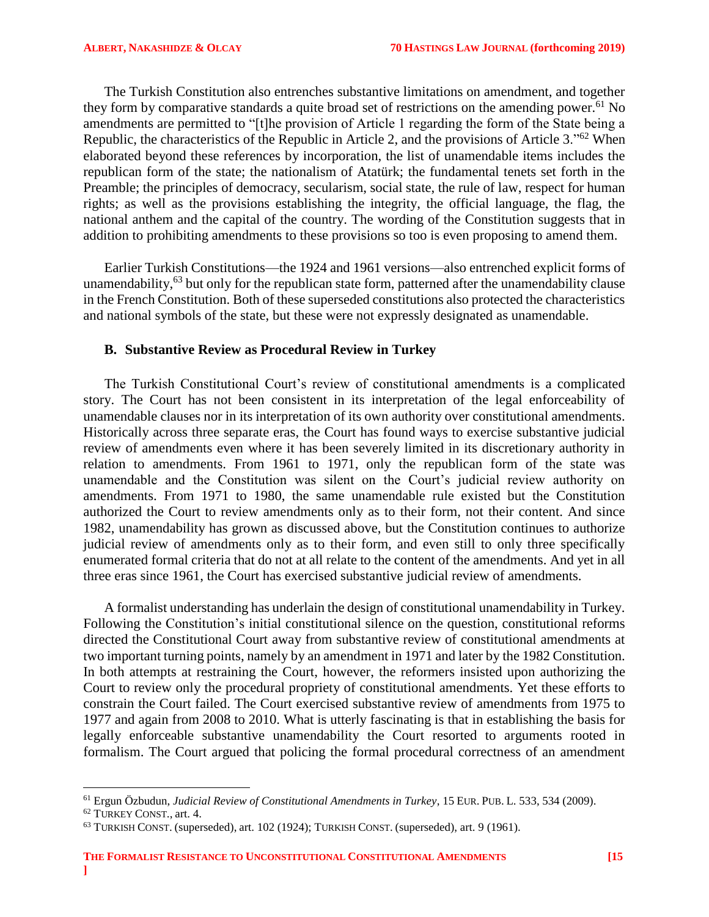The Turkish Constitution also entrenches substantive limitations on amendment, and together they form by comparative standards a quite broad set of restrictions on the amending power.<sup>61</sup> No amendments are permitted to "[t]he provision of Article 1 regarding the form of the State being a Republic, the characteristics of the Republic in Article 2, and the provisions of Article 3."<sup>62</sup> When elaborated beyond these references by incorporation, the list of unamendable items includes the republican form of the state; the nationalism of Atatürk; the fundamental tenets set forth in the Preamble; the principles of democracy, secularism, social state, the rule of law, respect for human rights; as well as the provisions establishing the integrity, the official language, the flag, the national anthem and the capital of the country. The wording of the Constitution suggests that in addition to prohibiting amendments to these provisions so too is even proposing to amend them.

Earlier Turkish Constitutions—the 1924 and 1961 versions—also entrenched explicit forms of unamendability,<sup>63</sup> but only for the republican state form, patterned after the unamendability clause in the French Constitution. Both of these superseded constitutions also protected the characteristics and national symbols of the state, but these were not expressly designated as unamendable.

# <span id="page-14-0"></span>**B. Substantive Review as Procedural Review in Turkey**

The Turkish Constitutional Court's review of constitutional amendments is a complicated story. The Court has not been consistent in its interpretation of the legal enforceability of unamendable clauses nor in its interpretation of its own authority over constitutional amendments. Historically across three separate eras, the Court has found ways to exercise substantive judicial review of amendments even where it has been severely limited in its discretionary authority in relation to amendments. From 1961 to 1971, only the republican form of the state was unamendable and the Constitution was silent on the Court's judicial review authority on amendments. From 1971 to 1980, the same unamendable rule existed but the Constitution authorized the Court to review amendments only as to their form, not their content. And since 1982, unamendability has grown as discussed above, but the Constitution continues to authorize judicial review of amendments only as to their form, and even still to only three specifically enumerated formal criteria that do not at all relate to the content of the amendments. And yet in all three eras since 1961, the Court has exercised substantive judicial review of amendments.

A formalist understanding has underlain the design of constitutional unamendability in Turkey. Following the Constitution's initial constitutional silence on the question, constitutional reforms directed the Constitutional Court away from substantive review of constitutional amendments at two important turning points, namely by an amendment in 1971 and later by the 1982 Constitution. In both attempts at restraining the Court, however, the reformers insisted upon authorizing the Court to review only the procedural propriety of constitutional amendments. Yet these efforts to constrain the Court failed. The Court exercised substantive review of amendments from 1975 to 1977 and again from 2008 to 2010. What is utterly fascinating is that in establishing the basis for legally enforceable substantive unamendability the Court resorted to arguments rooted in formalism. The Court argued that policing the formal procedural correctness of an amendment

<sup>61</sup> Ergun Özbudun, *Judicial Review of Constitutional Amendments in Turkey*, 15 EUR. PUB. L. 533, 534 (2009).

<sup>62</sup> TURKEY CONST., art. 4.

<sup>63</sup> TURKISH CONST. (superseded), art. 102 (1924); TURKISH CONST. (superseded), art. 9 (1961).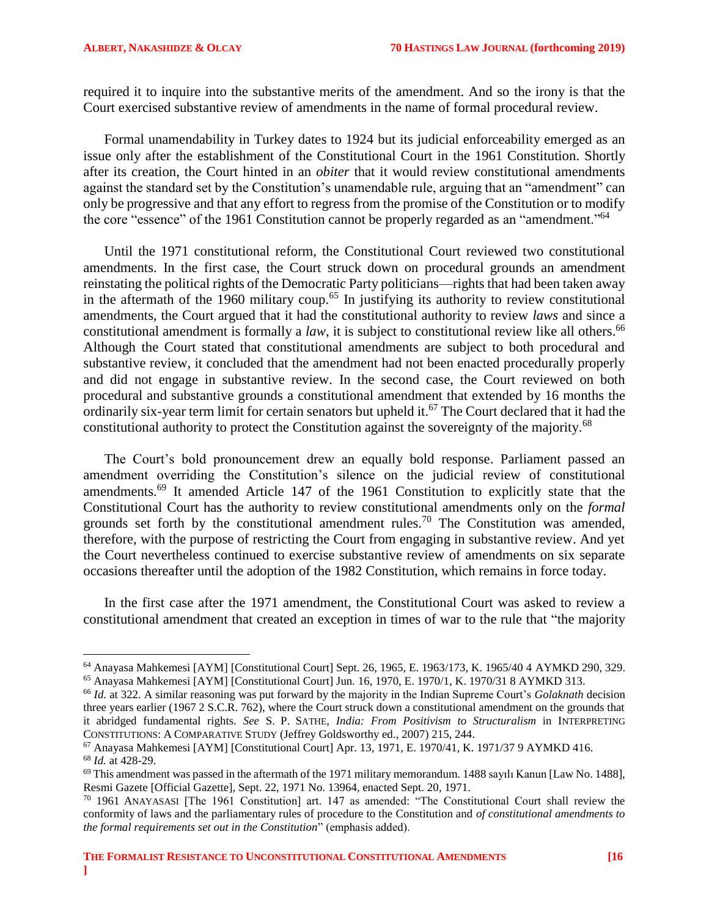$\overline{\phantom{a}}$ 

required it to inquire into the substantive merits of the amendment. And so the irony is that the Court exercised substantive review of amendments in the name of formal procedural review.

Formal unamendability in Turkey dates to 1924 but its judicial enforceability emerged as an issue only after the establishment of the Constitutional Court in the 1961 Constitution. Shortly after its creation, the Court hinted in an *obiter* that it would review constitutional amendments against the standard set by the Constitution's unamendable rule, arguing that an "amendment" can only be progressive and that any effort to regress from the promise of the Constitution or to modify the core "essence" of the 1961 Constitution cannot be properly regarded as an "amendment."<sup>64</sup>

Until the 1971 constitutional reform, the Constitutional Court reviewed two constitutional amendments. In the first case, the Court struck down on procedural grounds an amendment reinstating the political rights of the Democratic Party politicians—rights that had been taken away in the aftermath of the 1960 military coup.<sup>65</sup> In justifying its authority to review constitutional amendments, the Court argued that it had the constitutional authority to review *laws* and since a constitutional amendment is formally a *law*, it is subject to constitutional review like all others. 66 Although the Court stated that constitutional amendments are subject to both procedural and substantive review, it concluded that the amendment had not been enacted procedurally properly and did not engage in substantive review. In the second case, the Court reviewed on both procedural and substantive grounds a constitutional amendment that extended by 16 months the ordinarily six-year term limit for certain senators but upheld it.<sup>67</sup> The Court declared that it had the constitutional authority to protect the Constitution against the sovereignty of the majority.<sup>68</sup>

The Court's bold pronouncement drew an equally bold response. Parliament passed an amendment overriding the Constitution's silence on the judicial review of constitutional amendments.<sup>69</sup> It amended Article 147 of the 1961 Constitution to explicitly state that the Constitutional Court has the authority to review constitutional amendments only on the *formal* grounds set forth by the constitutional amendment rules.<sup>70</sup> The Constitution was amended, therefore, with the purpose of restricting the Court from engaging in substantive review. And yet the Court nevertheless continued to exercise substantive review of amendments on six separate occasions thereafter until the adoption of the 1982 Constitution, which remains in force today.

In the first case after the 1971 amendment, the Constitutional Court was asked to review a constitutional amendment that created an exception in times of war to the rule that "the majority

<sup>65</sup> Anayasa Mahkemesi [AYM] [Constitutional Court] Jun. 16, 1970, E. 1970/1, K. 1970/31 8 AYMKD 313.

<sup>64</sup> Anayasa Mahkemesi [AYM] [Constitutional Court] Sept. 26, 1965, E. 1963/173, K. 1965/40 4 AYMKD 290, 329.

<sup>66</sup> *Id.* at 322. A similar reasoning was put forward by the majority in the Indian Supreme Court's *Golaknath* decision three years earlier (1967 2 S.C.R. 762), where the Court struck down a constitutional amendment on the grounds that it abridged fundamental rights. *See* S. P. SATHE, *India: From Positivism to Structuralism* in INTERPRETING CONSTITUTIONS: A COMPARATIVE STUDY (Jeffrey Goldsworthy ed., 2007) 215, 244.

<sup>67</sup> Anayasa Mahkemesi [AYM] [Constitutional Court] Apr. 13, 1971, E. 1970/41, K. 1971/37 9 AYMKD 416. <sup>68</sup> *Id.* at 428-29.

 $^{69}$  This amendment was passed in the aftermath of the 1971 military memorandum. 1488 sayılı Kanun [Law No. 1488], Resmi Gazete [Official Gazette], Sept. 22, 1971 No. 13964, enacted Sept. 20, 1971.

<sup>70</sup> 1961 ANAYASASI [The 1961 Constitution] art. 147 as amended: "The Constitutional Court shall review the conformity of laws and the parliamentary rules of procedure to the Constitution and *of constitutional amendments to the formal requirements set out in the Constitution*" (emphasis added).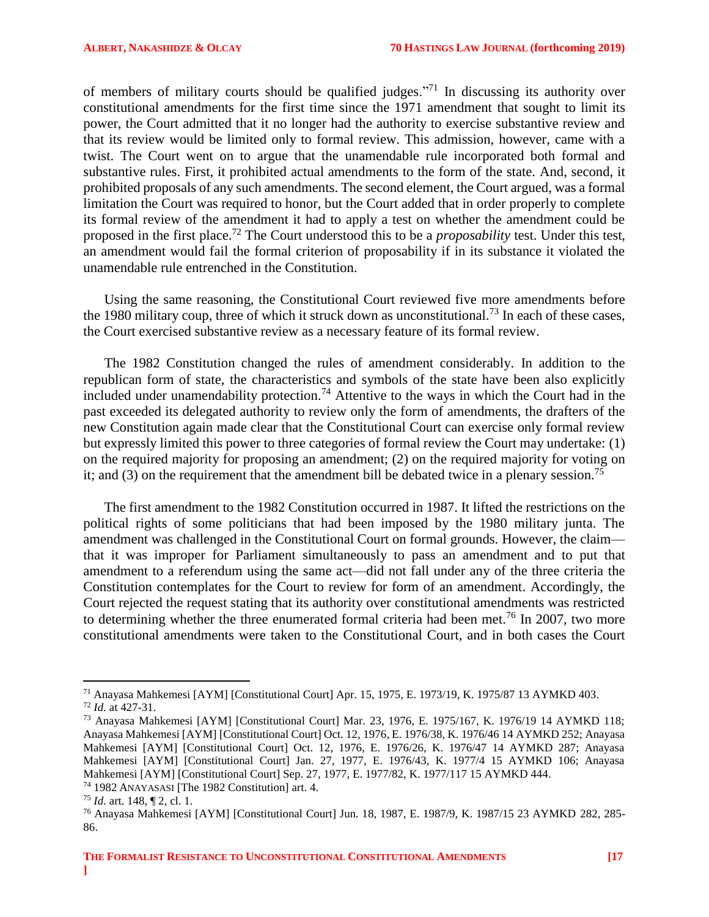of members of military courts should be qualified judges."<sup>71</sup> In discussing its authority over constitutional amendments for the first time since the 1971 amendment that sought to limit its power, the Court admitted that it no longer had the authority to exercise substantive review and that its review would be limited only to formal review. This admission, however, came with a twist. The Court went on to argue that the unamendable rule incorporated both formal and substantive rules. First, it prohibited actual amendments to the form of the state. And, second, it prohibited proposals of any such amendments. The second element, the Court argued, was a formal limitation the Court was required to honor, but the Court added that in order properly to complete its formal review of the amendment it had to apply a test on whether the amendment could be proposed in the first place. <sup>72</sup> The Court understood this to be a *proposability* test. Under this test, an amendment would fail the formal criterion of proposability if in its substance it violated the unamendable rule entrenched in the Constitution.

Using the same reasoning, the Constitutional Court reviewed five more amendments before the 1980 military coup, three of which it struck down as unconstitutional.<sup>73</sup> In each of these cases, the Court exercised substantive review as a necessary feature of its formal review.

The 1982 Constitution changed the rules of amendment considerably. In addition to the republican form of state, the characteristics and symbols of the state have been also explicitly included under unamendability protection.<sup>74</sup> Attentive to the ways in which the Court had in the past exceeded its delegated authority to review only the form of amendments, the drafters of the new Constitution again made clear that the Constitutional Court can exercise only formal review but expressly limited this power to three categories of formal review the Court may undertake: (1) on the required majority for proposing an amendment; (2) on the required majority for voting on it; and  $(3)$  on the requirement that the amendment bill be debated twice in a plenary session.<sup>75</sup>

The first amendment to the 1982 Constitution occurred in 1987. It lifted the restrictions on the political rights of some politicians that had been imposed by the 1980 military junta. The amendment was challenged in the Constitutional Court on formal grounds. However, the claim that it was improper for Parliament simultaneously to pass an amendment and to put that amendment to a referendum using the same act—did not fall under any of the three criteria the Constitution contemplates for the Court to review for form of an amendment. Accordingly, the Court rejected the request stating that its authority over constitutional amendments was restricted to determining whether the three enumerated formal criteria had been met.<sup>76</sup> In 2007, two more constitutional amendments were taken to the Constitutional Court, and in both cases the Court

l

<sup>71</sup> Anayasa Mahkemesi [AYM] [Constitutional Court] Apr. 15, 1975, E. 1973/19, K. 1975/87 13 AYMKD 403. <sup>72</sup> *Id.* at 427-31.

<sup>73</sup> Anayasa Mahkemesi [AYM] [Constitutional Court] Mar. 23, 1976, E. 1975/167, K. 1976/19 14 AYMKD 118; Anayasa Mahkemesi [AYM] [Constitutional Court] Oct. 12, 1976, E. 1976/38, K. 1976/46 14 AYMKD 252; Anayasa Mahkemesi [AYM] [Constitutional Court] Oct. 12, 1976, E. 1976/26, K. 1976/47 14 AYMKD 287; Anayasa Mahkemesi [AYM] [Constitutional Court] Jan. 27, 1977, E. 1976/43, K. 1977/4 15 AYMKD 106; Anayasa Mahkemesi [AYM] [Constitutional Court] Sep. 27, 1977, E. 1977/82, K. 1977/117 15 AYMKD 444. <sup>74</sup> 1982 ANAYASASI [The 1982 Constitution] art. 4.

<sup>75</sup> *Id.* art. 148, ¶ 2, cl. 1.

<sup>76</sup> Anayasa Mahkemesi [AYM] [Constitutional Court] Jun. 18, 1987, E. 1987/9, K. 1987/15 23 AYMKD 282, 285- 86.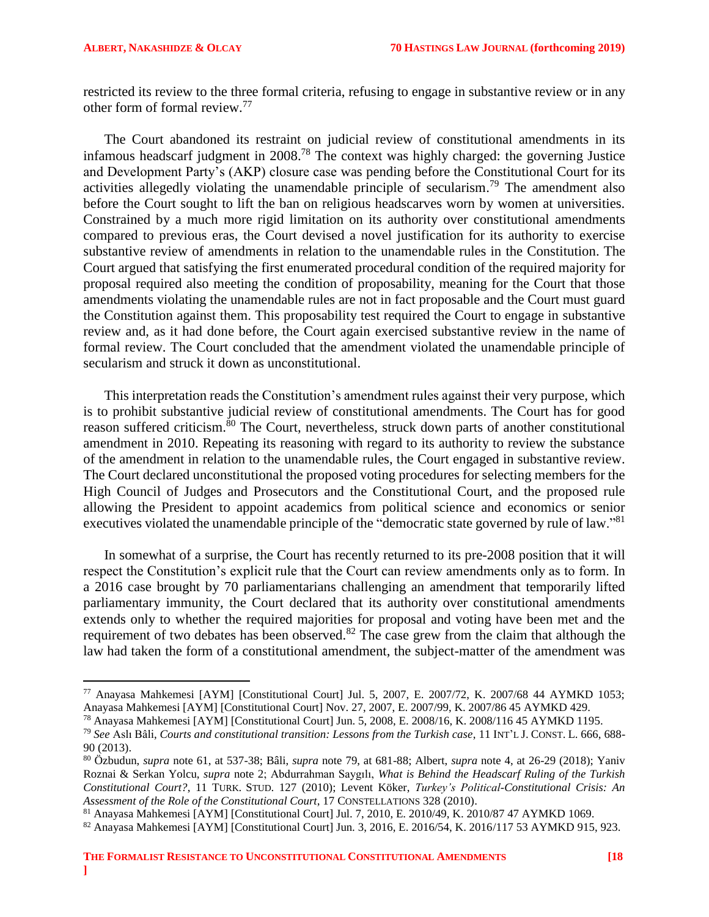l

restricted its review to the three formal criteria, refusing to engage in substantive review or in any other form of formal review.<sup>77</sup>

The Court abandoned its restraint on judicial review of constitutional amendments in its infamous headscarf judgment in 2008. <sup>78</sup> The context was highly charged: the governing Justice and Development Party's (AKP) closure case was pending before the Constitutional Court for its activities allegedly violating the unamendable principle of secularism.<sup>79</sup> The amendment also before the Court sought to lift the ban on religious headscarves worn by women at universities. Constrained by a much more rigid limitation on its authority over constitutional amendments compared to previous eras, the Court devised a novel justification for its authority to exercise substantive review of amendments in relation to the unamendable rules in the Constitution. The Court argued that satisfying the first enumerated procedural condition of the required majority for proposal required also meeting the condition of proposability, meaning for the Court that those amendments violating the unamendable rules are not in fact proposable and the Court must guard the Constitution against them. This proposability test required the Court to engage in substantive review and, as it had done before, the Court again exercised substantive review in the name of formal review. The Court concluded that the amendment violated the unamendable principle of secularism and struck it down as unconstitutional.

This interpretation reads the Constitution's amendment rules against their very purpose, which is to prohibit substantive judicial review of constitutional amendments. The Court has for good reason suffered criticism.<sup>80</sup> The Court, nevertheless, struck down parts of another constitutional amendment in 2010. Repeating its reasoning with regard to its authority to review the substance of the amendment in relation to the unamendable rules, the Court engaged in substantive review. The Court declared unconstitutional the proposed voting procedures for selecting members for the High Council of Judges and Prosecutors and the Constitutional Court, and the proposed rule allowing the President to appoint academics from political science and economics or senior executives violated the unamendable principle of the "democratic state governed by rule of law."<sup>81</sup>

In somewhat of a surprise, the Court has recently returned to its pre-2008 position that it will respect the Constitution's explicit rule that the Court can review amendments only as to form. In a 2016 case brought by 70 parliamentarians challenging an amendment that temporarily lifted parliamentary immunity, the Court declared that its authority over constitutional amendments extends only to whether the required majorities for proposal and voting have been met and the requirement of two debates has been observed.<sup>82</sup> The case grew from the claim that although the law had taken the form of a constitutional amendment, the subject-matter of the amendment was

<sup>77</sup> Anayasa Mahkemesi [AYM] [Constitutional Court] Jul. 5, 2007, E. 2007/72, K. 2007/68 44 AYMKD 1053; Anayasa Mahkemesi [AYM] [Constitutional Court] Nov. 27, 2007, E. 2007/99, K. 2007/86 45 AYMKD 429.

<sup>78</sup> Anayasa Mahkemesi [AYM] [Constitutional Court] Jun. 5, 2008, E. 2008/16, K. 2008/116 45 AYMKD 1195.

<sup>79</sup> *See* Aslı Bâli, *Courts and constitutional transition: Lessons from the Turkish case*, 11 INT'L J. CONST. L. 666, 688- 90 (2013).

<sup>80</sup> Özbudun, *supra* note 61, at 537-38; Bâli, *supra* note 79, at 681-88; Albert, *supra* note 4, at 26-29 (2018); Yaniv Roznai & Serkan Yolcu, *supra* note [2;](#page-2-2) Abdurrahman Saygılı, *What is Behind the Headscarf Ruling of the Turkish Constitutional Court?*, 11 TURK. STUD. 127 (2010); Levent Köker, *Turkey's Political-Constitutional Crisis: An Assessment of the Role of the Constitutional Court*, 17 CONSTELLATIONS 328 (2010).

<sup>81</sup> Anayasa Mahkemesi [AYM] [Constitutional Court] Jul. 7, 2010, E. 2010/49, K. 2010/87 47 AYMKD 1069.

<sup>82</sup> Anayasa Mahkemesi [AYM] [Constitutional Court] Jun. 3, 2016, E. 2016/54, K. 2016/117 53 AYMKD 915, 923.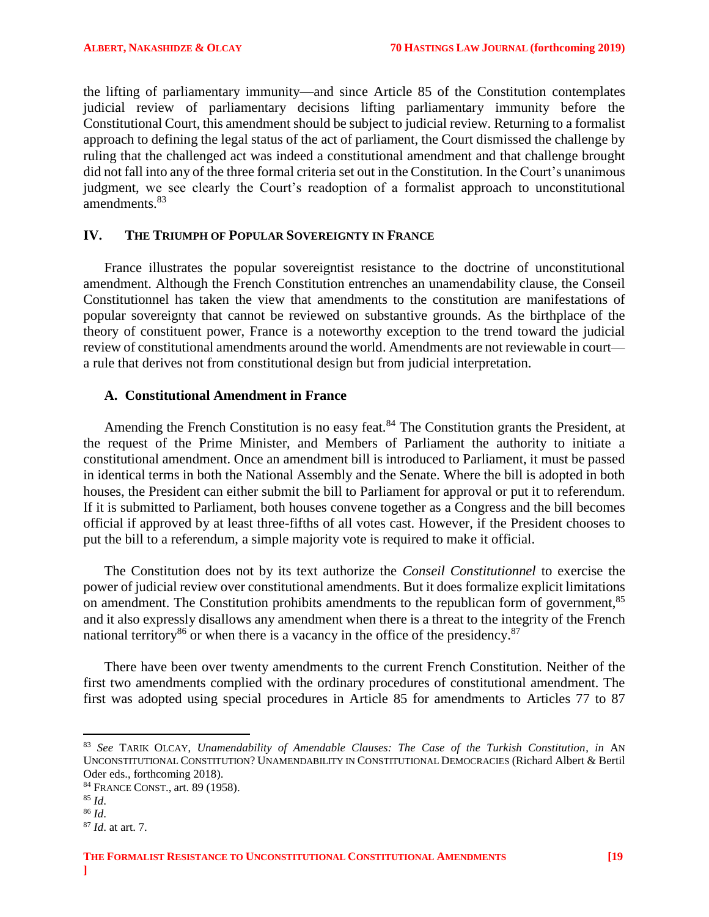the lifting of parliamentary immunity—and since Article 85 of the Constitution contemplates judicial review of parliamentary decisions lifting parliamentary immunity before the Constitutional Court, this amendment should be subject to judicial review. Returning to a formalist approach to defining the legal status of the act of parliament, the Court dismissed the challenge by ruling that the challenged act was indeed a constitutional amendment and that challenge brought did not fall into any of the three formal criteria set out in the Constitution. In the Court's unanimous judgment, we see clearly the Court's readoption of a formalist approach to unconstitutional amendments.<sup>83</sup>

# <span id="page-18-0"></span>**IV. THE TRIUMPH OF POPULAR SOVEREIGNTY IN FRANCE**

France illustrates the popular sovereigntist resistance to the doctrine of unconstitutional amendment. Although the French Constitution entrenches an unamendability clause, the Conseil Constitutionnel has taken the view that amendments to the constitution are manifestations of popular sovereignty that cannot be reviewed on substantive grounds. As the birthplace of the theory of constituent power, France is a noteworthy exception to the trend toward the judicial review of constitutional amendments around the world. Amendments are not reviewable in court a rule that derives not from constitutional design but from judicial interpretation.

# <span id="page-18-1"></span>**A. Constitutional Amendment in France**

Amending the French Constitution is no easy feat.<sup>84</sup> The Constitution grants the President, at the request of the Prime Minister, and Members of Parliament the authority to initiate a constitutional amendment. Once an amendment bill is introduced to Parliament, it must be passed in identical terms in both the National Assembly and the Senate. Where the bill is adopted in both houses, the President can either submit the bill to Parliament for approval or put it to referendum. If it is submitted to Parliament, both houses convene together as a Congress and the bill becomes official if approved by at least three-fifths of all votes cast. However, if the President chooses to put the bill to a referendum, a simple majority vote is required to make it official.

The Constitution does not by its text authorize the *Conseil Constitutionnel* to exercise the power of judicial review over constitutional amendments. But it does formalize explicit limitations on amendment. The Constitution prohibits amendments to the republican form of government,<sup>85</sup> and it also expressly disallows any amendment when there is a threat to the integrity of the French national territory<sup>86</sup> or when there is a vacancy in the office of the presidency.<sup>87</sup>

There have been over twenty amendments to the current French Constitution. Neither of the first two amendments complied with the ordinary procedures of constitutional amendment. The first was adopted using special procedures in Article 85 for amendments to Articles 77 to 87

<sup>83</sup> *See* TARIK OLCAY, *Unamendability of Amendable Clauses: The Case of the Turkish Constitution*, *in* AN UNCONSTITUTIONAL CONSTITUTION? UNAMENDABILITY IN CONSTITUTIONAL DEMOCRACIES (Richard Albert & Bertil Oder eds., forthcoming 2018).

<sup>84</sup> FRANCE CONST., art. 89 (1958).

<sup>85</sup> *Id*.

<sup>86</sup> *Id*.

<sup>87</sup> *Id*. at art. 7.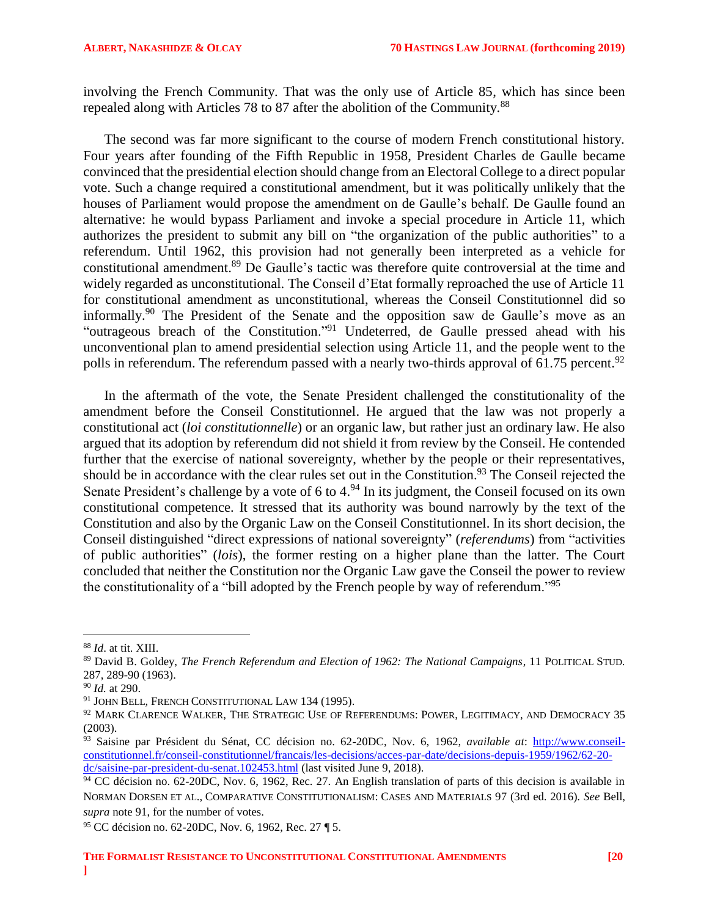involving the French Community. That was the only use of Article 85, which has since been repealed along with Articles 78 to 87 after the abolition of the Community.<sup>88</sup>

The second was far more significant to the course of modern French constitutional history. Four years after founding of the Fifth Republic in 1958, President Charles de Gaulle became convinced that the presidential election should change from an Electoral College to a direct popular vote. Such a change required a constitutional amendment, but it was politically unlikely that the houses of Parliament would propose the amendment on de Gaulle's behalf. De Gaulle found an alternative: he would bypass Parliament and invoke a special procedure in Article 11, which authorizes the president to submit any bill on "the organization of the public authorities" to a referendum. Until 1962, this provision had not generally been interpreted as a vehicle for constitutional amendment.<sup>89</sup> De Gaulle's tactic was therefore quite controversial at the time and widely regarded as unconstitutional. The Conseil d'Etat formally reproached the use of Article 11 for constitutional amendment as unconstitutional, whereas the Conseil Constitutionnel did so informally.<sup>90</sup> The President of the Senate and the opposition saw de Gaulle's move as an "outrageous breach of the Constitution."<sup>91</sup> Undeterred, de Gaulle pressed ahead with his unconventional plan to amend presidential selection using Article 11, and the people went to the polls in referendum. The referendum passed with a nearly two-thirds approval of 61.75 percent.<sup>92</sup>

In the aftermath of the vote, the Senate President challenged the constitutionality of the amendment before the Conseil Constitutionnel. He argued that the law was not properly a constitutional act (*loi constitutionnelle*) or an organic law, but rather just an ordinary law. He also argued that its adoption by referendum did not shield it from review by the Conseil. He contended further that the exercise of national sovereignty, whether by the people or their representatives, should be in accordance with the clear rules set out in the Constitution.<sup>93</sup> The Conseil rejected the Senate President's challenge by a vote of 6 to 4.<sup>94</sup> In its judgment, the Conseil focused on its own constitutional competence. It stressed that its authority was bound narrowly by the text of the Constitution and also by the Organic Law on the Conseil Constitutionnel. In its short decision, the Conseil distinguished "direct expressions of national sovereignty" (*referendums*) from "activities of public authorities" (*lois*), the former resting on a higher plane than the latter. The Court concluded that neither the Constitution nor the Organic Law gave the Conseil the power to review the constitutionality of a "bill adopted by the French people by way of referendum."<sup>95</sup>

l

<sup>88</sup> *Id*. at tit. XIII.

<sup>89</sup> David B. Goldey, *The French Referendum and Election of 1962: The National Campaigns*, 11 POLITICAL STUD. 287, 289-90 (1963).

<sup>90</sup> *Id.* at 290.

<sup>&</sup>lt;sup>91</sup> JOHN BELL, FRENCH CONSTITUTIONAL LAW 134 (1995).

 $^{92}$  MARK CLARENCE WALKER, THE STRATEGIC USE OF REFERENDUMS: POWER, LEGITIMACY, AND DEMOCRACY 35 (2003).

<sup>93</sup> Saisine par Président du Sénat, CC décision no. 62-20DC, Nov. 6, 1962, *available at*: [http://www.conseil](http://www.conseil-constitutionnel.fr/conseil-constitutionnel/francais/les-decisions/acces-par-date/decisions-depuis-1959/1962/62-20-dc/saisine-par-president-du-senat.102453.html)[constitutionnel.fr/conseil-constitutionnel/francais/les-decisions/acces-par-date/decisions-depuis-1959/1962/62-20](http://www.conseil-constitutionnel.fr/conseil-constitutionnel/francais/les-decisions/acces-par-date/decisions-depuis-1959/1962/62-20-dc/saisine-par-president-du-senat.102453.html) [dc/saisine-par-president-du-senat.102453.html](http://www.conseil-constitutionnel.fr/conseil-constitutionnel/francais/les-decisions/acces-par-date/decisions-depuis-1959/1962/62-20-dc/saisine-par-president-du-senat.102453.html) (last visited June 9, 2018).

<sup>&</sup>lt;sup>94</sup> CC décision no. 62-20DC, Nov. 6, 1962, Rec. 27. An English translation of parts of this decision is available in NORMAN DORSEN ET AL., COMPARATIVE CONSTITUTIONALISM: CASES AND MATERIALS 97 (3rd ed. 2016). *See* Bell, *supra* note 91, for the number of votes.

<sup>95</sup> CC décision no. 62-20DC, Nov. 6, 1962, Rec. 27 ¶ 5.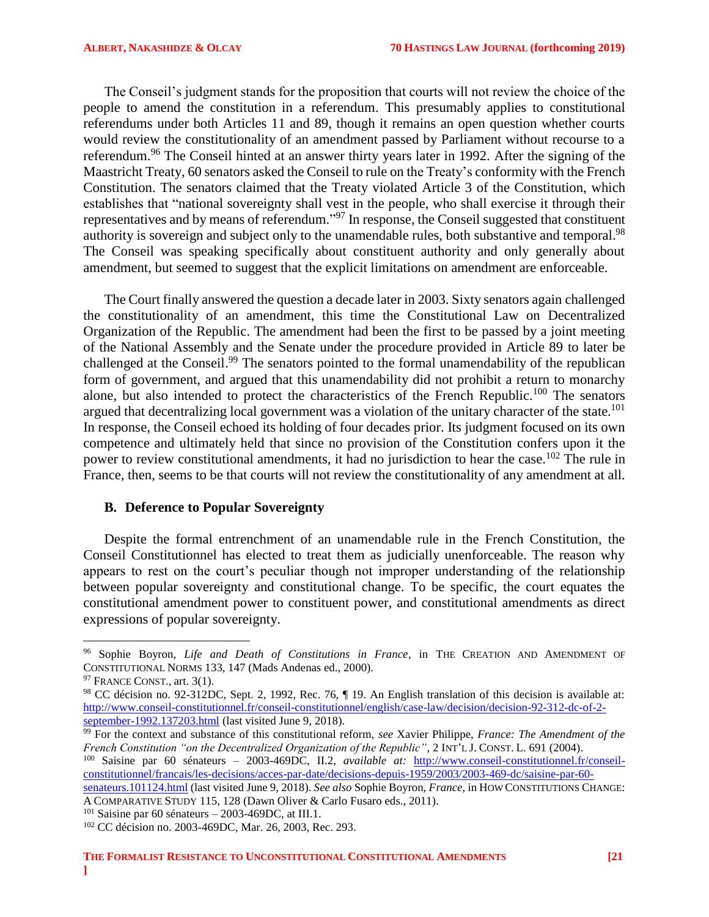The Conseil's judgment stands for the proposition that courts will not review the choice of the people to amend the constitution in a referendum. This presumably applies to constitutional referendums under both Articles 11 and 89, though it remains an open question whether courts would review the constitutionality of an amendment passed by Parliament without recourse to a referendum.<sup>96</sup> The Conseil hinted at an answer thirty years later in 1992. After the signing of the Maastricht Treaty, 60 senators asked the Conseil to rule on the Treaty's conformity with the French Constitution. The senators claimed that the Treaty violated Article 3 of the Constitution, which establishes that "national sovereignty shall vest in the people, who shall exercise it through their representatives and by means of referendum."<sup>97</sup> In response, the Conseil suggested that constituent authority is sovereign and subject only to the unamendable rules, both substantive and temporal.<sup>98</sup> The Conseil was speaking specifically about constituent authority and only generally about amendment, but seemed to suggest that the explicit limitations on amendment are enforceable.

The Court finally answered the question a decade later in 2003. Sixty senators again challenged the constitutionality of an amendment, this time the Constitutional Law on Decentralized Organization of the Republic. The amendment had been the first to be passed by a joint meeting of the National Assembly and the Senate under the procedure provided in Article 89 to later be challenged at the Conseil.<sup>99</sup> The senators pointed to the formal unamendability of the republican form of government, and argued that this unamendability did not prohibit a return to monarchy alone, but also intended to protect the characteristics of the French Republic.<sup>100</sup> The senators argued that decentralizing local government was a violation of the unitary character of the state.<sup>101</sup> In response, the Conseil echoed its holding of four decades prior. Its judgment focused on its own competence and ultimately held that since no provision of the Constitution confers upon it the power to review constitutional amendments, it had no jurisdiction to hear the case.<sup>102</sup> The rule in France, then, seems to be that courts will not review the constitutionality of any amendment at all.

### <span id="page-20-0"></span>**B. Deference to Popular Sovereignty**

Despite the formal entrenchment of an unamendable rule in the French Constitution, the Conseil Constitutionnel has elected to treat them as judicially unenforceable. The reason why appears to rest on the court's peculiar though not improper understanding of the relationship between popular sovereignty and constitutional change. To be specific, the court equates the constitutional amendment power to constituent power, and constitutional amendments as direct expressions of popular sovereignty.

 $\overline{a}$ 

<sup>100</sup> Saisine par 60 sénateurs – 2003-469DC, II.2, *available at:* [http://www.conseil-constitutionnel.fr/conseil](http://www.conseil-constitutionnel.fr/conseil-constitutionnel/francais/les-decisions/acces-par-date/decisions-depuis-1959/2003/2003-469-dc/saisine-par-60-senateurs.101124.html)[constitutionnel/francais/les-decisions/acces-par-date/decisions-depuis-1959/2003/2003-469-dc/saisine-par-60-](http://www.conseil-constitutionnel.fr/conseil-constitutionnel/francais/les-decisions/acces-par-date/decisions-depuis-1959/2003/2003-469-dc/saisine-par-60-senateurs.101124.html)

<sup>96</sup> Sophie Boyron, *Life and Death of Constitutions in France*, in THE CREATION AND AMENDMENT OF CONSTITUTIONAL NORMS 133, 147 (Mads Andenas ed., 2000).

<sup>&</sup>lt;sup>97</sup> FRANCE CONST., art. 3(1).

<sup>98</sup> CC décision no. 92-312DC, Sept. 2, 1992, Rec. 76, ¶ 19. An English translation of this decision is available at: [http://www.conseil-constitutionnel.fr/conseil-constitutionnel/english/case-law/decision/decision-92-312-dc-of-2](http://www.conseil-constitutionnel.fr/conseil-constitutionnel/english/case-law/decision/decision-92-312-dc-of-2-september-1992.137203.html) [september-1992.137203.html](http://www.conseil-constitutionnel.fr/conseil-constitutionnel/english/case-law/decision/decision-92-312-dc-of-2-september-1992.137203.html) (last visited June 9, 2018).

<sup>&</sup>lt;sup>99</sup> For the context and substance of this constitutional reform, *see* Xavier Philippe, *France: The Amendment of the French Constitution "on the Decentralized Organization of the Republic"*, 2 INT'L J. CONST. L. 691 (2004).

[senateurs.101124.html](http://www.conseil-constitutionnel.fr/conseil-constitutionnel/francais/les-decisions/acces-par-date/decisions-depuis-1959/2003/2003-469-dc/saisine-par-60-senateurs.101124.html) (last visited June 9, 2018). *See also* Sophie Boyron, *France*, in HOW CONSTITUTIONS CHANGE: A COMPARATIVE STUDY 115, 128 (Dawn Oliver & Carlo Fusaro eds., 2011).

 $101$  Saisine par 60 sénateurs – 2003-469DC, at III.1.

<sup>102</sup> CC décision no. 2003-469DC, Mar. 26, 2003, Rec. 293.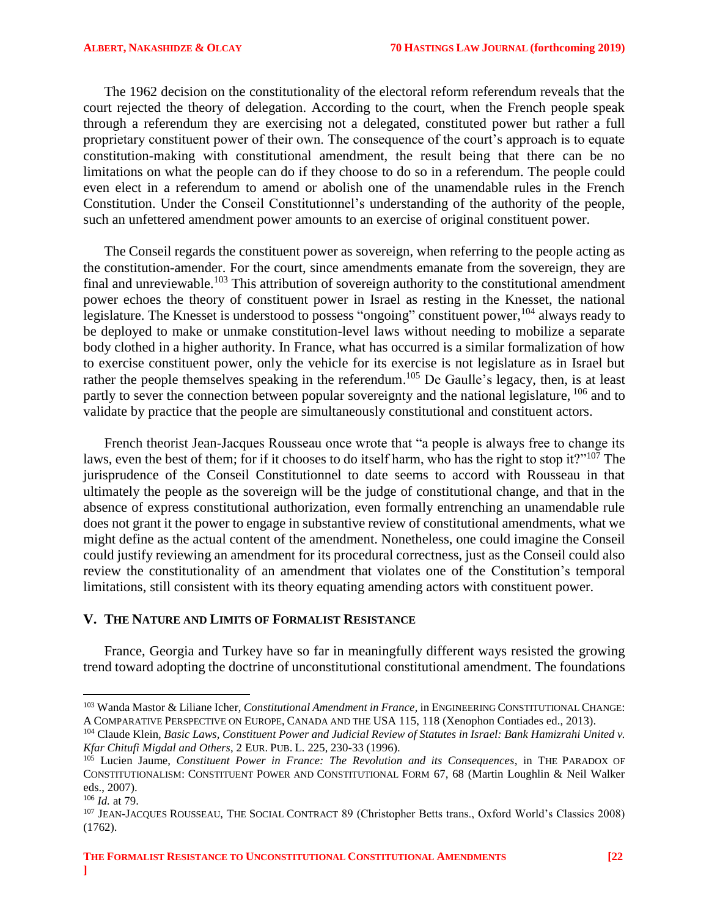The 1962 decision on the constitutionality of the electoral reform referendum reveals that the court rejected the theory of delegation. According to the court, when the French people speak through a referendum they are exercising not a delegated, constituted power but rather a full proprietary constituent power of their own. The consequence of the court's approach is to equate constitution-making with constitutional amendment, the result being that there can be no limitations on what the people can do if they choose to do so in a referendum. The people could even elect in a referendum to amend or abolish one of the unamendable rules in the French Constitution. Under the Conseil Constitutionnel's understanding of the authority of the people, such an unfettered amendment power amounts to an exercise of original constituent power.

The Conseil regards the constituent power as sovereign, when referring to the people acting as the constitution-amender. For the court, since amendments emanate from the sovereign, they are final and unreviewable.<sup>103</sup> This attribution of sovereign authority to the constitutional amendment power echoes the theory of constituent power in Israel as resting in the Knesset, the national legislature. The Knesset is understood to possess "ongoing" constituent power, <sup>104</sup> always ready to be deployed to make or unmake constitution-level laws without needing to mobilize a separate body clothed in a higher authority. In France, what has occurred is a similar formalization of how to exercise constituent power, only the vehicle for its exercise is not legislature as in Israel but rather the people themselves speaking in the referendum.<sup>105</sup> De Gaulle's legacy, then, is at least partly to sever the connection between popular sovereignty and the national legislature, <sup>106</sup> and to validate by practice that the people are simultaneously constitutional and constituent actors.

French theorist Jean-Jacques Rousseau once wrote that "a people is always free to change its laws, even the best of them; for if it chooses to do itself harm, who has the right to stop it?"<sup>107</sup> The jurisprudence of the Conseil Constitutionnel to date seems to accord with Rousseau in that ultimately the people as the sovereign will be the judge of constitutional change, and that in the absence of express constitutional authorization, even formally entrenching an unamendable rule does not grant it the power to engage in substantive review of constitutional amendments, what we might define as the actual content of the amendment. Nonetheless, one could imagine the Conseil could justify reviewing an amendment for its procedural correctness, just as the Conseil could also review the constitutionality of an amendment that violates one of the Constitution's temporal limitations, still consistent with its theory equating amending actors with constituent power.

### <span id="page-21-0"></span>**V. THE NATURE AND LIMITS OF FORMALIST RESISTANCE**

France, Georgia and Turkey have so far in meaningfully different ways resisted the growing trend toward adopting the doctrine of unconstitutional constitutional amendment. The foundations

 $\overline{a}$ 

<sup>103</sup> Wanda Mastor & Liliane Icher, *Constitutional Amendment in France*, in ENGINEERING CONSTITUTIONAL CHANGE: A COMPARATIVE PERSPECTIVE ON EUROPE, CANADA AND THE USA 115, 118 (Xenophon Contiades ed., 2013).

<sup>104</sup> Claude Klein, *Basic Laws, Constituent Power and Judicial Review of Statutes in Israel: Bank Hamizrahi United v. Kfar Chitufi Migdal and Others*, 2 EUR. PUB. L. 225, 230-33 (1996).

<sup>105</sup> Lucien Jaume, *Constituent Power in France: The Revolution and its Consequences*, in THE PARADOX OF CONSTITUTIONALISM: CONSTITUENT POWER AND CONSTITUTIONAL FORM 67, 68 (Martin Loughlin & Neil Walker eds., 2007).

<sup>106</sup> *Id.* at 79.

<sup>&</sup>lt;sup>107</sup> JEAN-JACQUES ROUSSEAU, THE SOCIAL CONTRACT 89 (Christopher Betts trans., Oxford World's Classics 2008) (1762).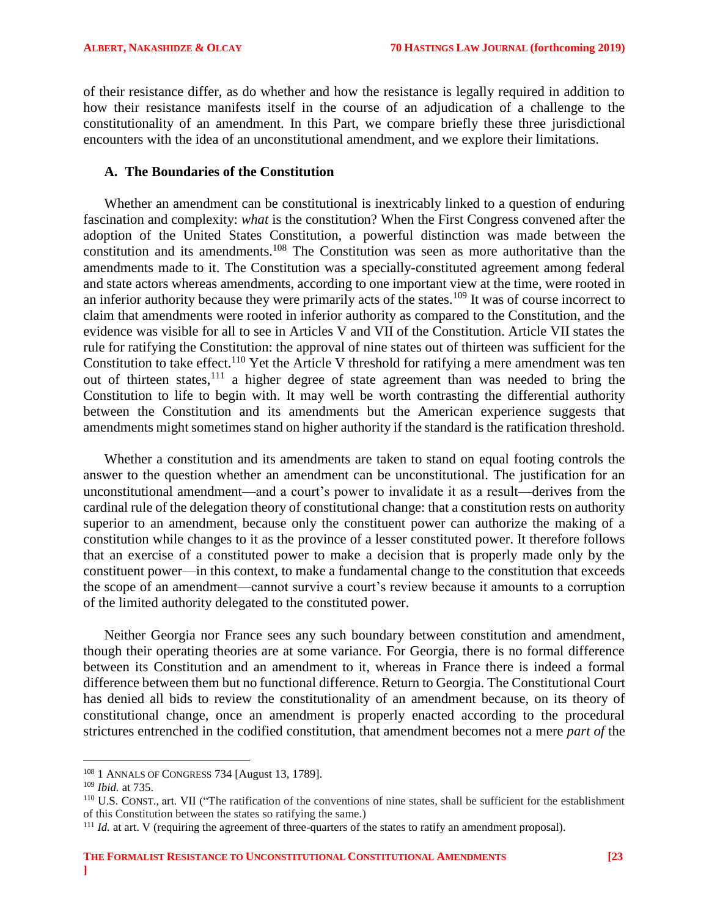of their resistance differ, as do whether and how the resistance is legally required in addition to how their resistance manifests itself in the course of an adjudication of a challenge to the constitutionality of an amendment. In this Part, we compare briefly these three jurisdictional encounters with the idea of an unconstitutional amendment, and we explore their limitations.

### <span id="page-22-0"></span>**A. The Boundaries of the Constitution**

Whether an amendment can be constitutional is inextricably linked to a question of enduring fascination and complexity: *what* is the constitution? When the First Congress convened after the adoption of the United States Constitution, a powerful distinction was made between the constitution and its amendments.<sup>108</sup> The Constitution was seen as more authoritative than the amendments made to it. The Constitution was a specially-constituted agreement among federal and state actors whereas amendments, according to one important view at the time, were rooted in an inferior authority because they were primarily acts of the states.<sup>109</sup> It was of course incorrect to claim that amendments were rooted in inferior authority as compared to the Constitution, and the evidence was visible for all to see in Articles V and VII of the Constitution. Article VII states the rule for ratifying the Constitution: the approval of nine states out of thirteen was sufficient for the Constitution to take effect.<sup>110</sup> Yet the Article V threshold for ratifying a mere amendment was ten out of thirteen states,<sup>111</sup> a higher degree of state agreement than was needed to bring the Constitution to life to begin with. It may well be worth contrasting the differential authority between the Constitution and its amendments but the American experience suggests that amendments might sometimes stand on higher authority if the standard is the ratification threshold.

Whether a constitution and its amendments are taken to stand on equal footing controls the answer to the question whether an amendment can be unconstitutional. The justification for an unconstitutional amendment—and a court's power to invalidate it as a result—derives from the cardinal rule of the delegation theory of constitutional change: that a constitution rests on authority superior to an amendment, because only the constituent power can authorize the making of a constitution while changes to it as the province of a lesser constituted power. It therefore follows that an exercise of a constituted power to make a decision that is properly made only by the constituent power—in this context, to make a fundamental change to the constitution that exceeds the scope of an amendment—cannot survive a court's review because it amounts to a corruption of the limited authority delegated to the constituted power.

Neither Georgia nor France sees any such boundary between constitution and amendment, though their operating theories are at some variance. For Georgia, there is no formal difference between its Constitution and an amendment to it, whereas in France there is indeed a formal difference between them but no functional difference. Return to Georgia. The Constitutional Court has denied all bids to review the constitutionality of an amendment because, on its theory of constitutional change, once an amendment is properly enacted according to the procedural strictures entrenched in the codified constitution, that amendment becomes not a mere *part of* the

l

<sup>108</sup> 1 ANNALS OF CONGRESS 734 [August 13, 1789].

<sup>109</sup> *Ibid.* at 735.

<sup>110</sup> U.S. CONST., art. VII ("The ratification of the conventions of nine states, shall be sufficient for the establishment of this Constitution between the states so ratifying the same.)

<sup>&</sup>lt;sup>111</sup> *Id.* at art. V (requiring the agreement of three-quarters of the states to ratify an amendment proposal).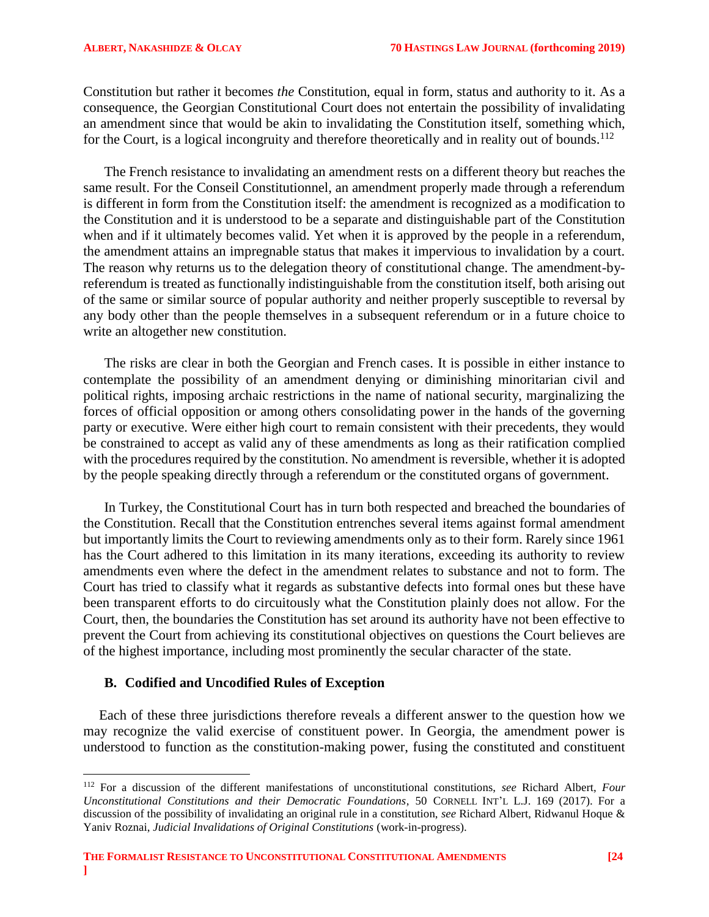Constitution but rather it becomes *the* Constitution, equal in form, status and authority to it. As a consequence, the Georgian Constitutional Court does not entertain the possibility of invalidating an amendment since that would be akin to invalidating the Constitution itself, something which, for the Court, is a logical incongruity and therefore theoretically and in reality out of bounds.<sup>112</sup>

The French resistance to invalidating an amendment rests on a different theory but reaches the same result. For the Conseil Constitutionnel, an amendment properly made through a referendum is different in form from the Constitution itself: the amendment is recognized as a modification to the Constitution and it is understood to be a separate and distinguishable part of the Constitution when and if it ultimately becomes valid. Yet when it is approved by the people in a referendum, the amendment attains an impregnable status that makes it impervious to invalidation by a court. The reason why returns us to the delegation theory of constitutional change. The amendment-byreferendum is treated as functionally indistinguishable from the constitution itself, both arising out of the same or similar source of popular authority and neither properly susceptible to reversal by any body other than the people themselves in a subsequent referendum or in a future choice to write an altogether new constitution.

The risks are clear in both the Georgian and French cases. It is possible in either instance to contemplate the possibility of an amendment denying or diminishing minoritarian civil and political rights, imposing archaic restrictions in the name of national security, marginalizing the forces of official opposition or among others consolidating power in the hands of the governing party or executive. Were either high court to remain consistent with their precedents, they would be constrained to accept as valid any of these amendments as long as their ratification complied with the procedures required by the constitution. No amendment is reversible, whether it is adopted by the people speaking directly through a referendum or the constituted organs of government.

In Turkey, the Constitutional Court has in turn both respected and breached the boundaries of the Constitution. Recall that the Constitution entrenches several items against formal amendment but importantly limits the Court to reviewing amendments only as to their form. Rarely since 1961 has the Court adhered to this limitation in its many iterations, exceeding its authority to review amendments even where the defect in the amendment relates to substance and not to form. The Court has tried to classify what it regards as substantive defects into formal ones but these have been transparent efforts to do circuitously what the Constitution plainly does not allow. For the Court, then, the boundaries the Constitution has set around its authority have not been effective to prevent the Court from achieving its constitutional objectives on questions the Court believes are of the highest importance, including most prominently the secular character of the state.

# <span id="page-23-0"></span>**B. Codified and Uncodified Rules of Exception**

 $\overline{a}$ 

Each of these three jurisdictions therefore reveals a different answer to the question how we may recognize the valid exercise of constituent power. In Georgia, the amendment power is understood to function as the constitution-making power, fusing the constituted and constituent

<sup>112</sup> For a discussion of the different manifestations of unconstitutional constitutions, *see* Richard Albert, *Four Unconstitutional Constitutions and their Democratic Foundations*, 50 CORNELL INT'L L.J. 169 (2017). For a discussion of the possibility of invalidating an original rule in a constitution, *see* Richard Albert, Ridwanul Hoque & Yaniv Roznai, *Judicial Invalidations of Original Constitutions* (work-in-progress).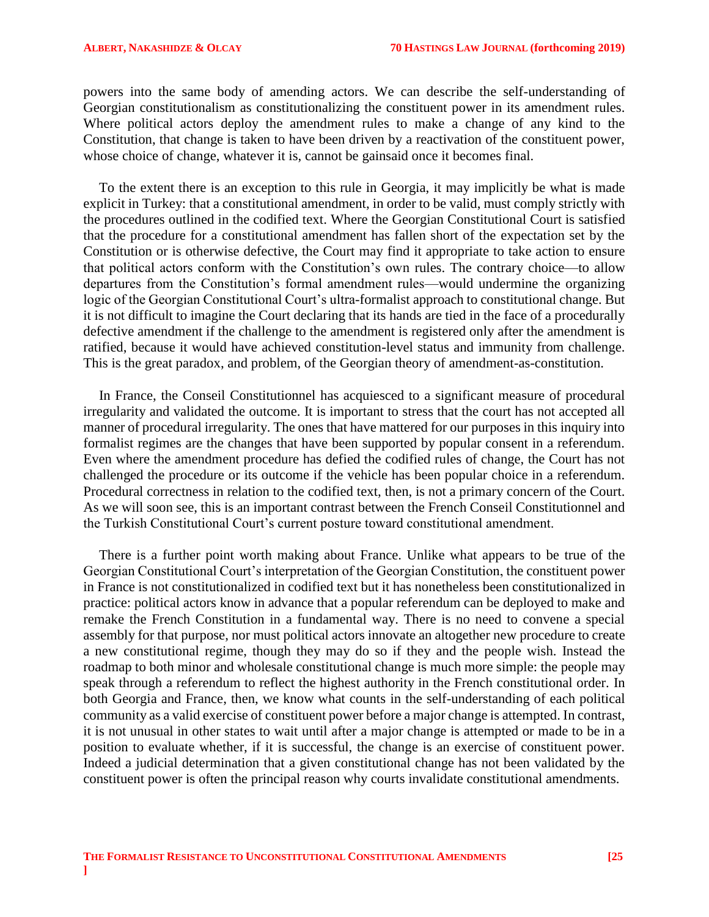powers into the same body of amending actors. We can describe the self-understanding of Georgian constitutionalism as constitutionalizing the constituent power in its amendment rules. Where political actors deploy the amendment rules to make a change of any kind to the Constitution, that change is taken to have been driven by a reactivation of the constituent power, whose choice of change, whatever it is, cannot be gainsaid once it becomes final.

To the extent there is an exception to this rule in Georgia, it may implicitly be what is made explicit in Turkey: that a constitutional amendment, in order to be valid, must comply strictly with the procedures outlined in the codified text. Where the Georgian Constitutional Court is satisfied that the procedure for a constitutional amendment has fallen short of the expectation set by the Constitution or is otherwise defective, the Court may find it appropriate to take action to ensure that political actors conform with the Constitution's own rules. The contrary choice—to allow departures from the Constitution's formal amendment rules—would undermine the organizing logic of the Georgian Constitutional Court's ultra-formalist approach to constitutional change. But it is not difficult to imagine the Court declaring that its hands are tied in the face of a procedurally defective amendment if the challenge to the amendment is registered only after the amendment is ratified, because it would have achieved constitution-level status and immunity from challenge. This is the great paradox, and problem, of the Georgian theory of amendment-as-constitution.

In France, the Conseil Constitutionnel has acquiesced to a significant measure of procedural irregularity and validated the outcome. It is important to stress that the court has not accepted all manner of procedural irregularity. The ones that have mattered for our purposes in this inquiry into formalist regimes are the changes that have been supported by popular consent in a referendum. Even where the amendment procedure has defied the codified rules of change, the Court has not challenged the procedure or its outcome if the vehicle has been popular choice in a referendum. Procedural correctness in relation to the codified text, then, is not a primary concern of the Court. As we will soon see, this is an important contrast between the French Conseil Constitutionnel and the Turkish Constitutional Court's current posture toward constitutional amendment.

There is a further point worth making about France. Unlike what appears to be true of the Georgian Constitutional Court's interpretation of the Georgian Constitution, the constituent power in France is not constitutionalized in codified text but it has nonetheless been constitutionalized in practice: political actors know in advance that a popular referendum can be deployed to make and remake the French Constitution in a fundamental way. There is no need to convene a special assembly for that purpose, nor must political actors innovate an altogether new procedure to create a new constitutional regime, though they may do so if they and the people wish. Instead the roadmap to both minor and wholesale constitutional change is much more simple: the people may speak through a referendum to reflect the highest authority in the French constitutional order. In both Georgia and France, then, we know what counts in the self-understanding of each political community as a valid exercise of constituent power before a major change is attempted. In contrast, it is not unusual in other states to wait until after a major change is attempted or made to be in a position to evaluate whether, if it is successful, the change is an exercise of constituent power. Indeed a judicial determination that a given constitutional change has not been validated by the constituent power is often the principal reason why courts invalidate constitutional amendments.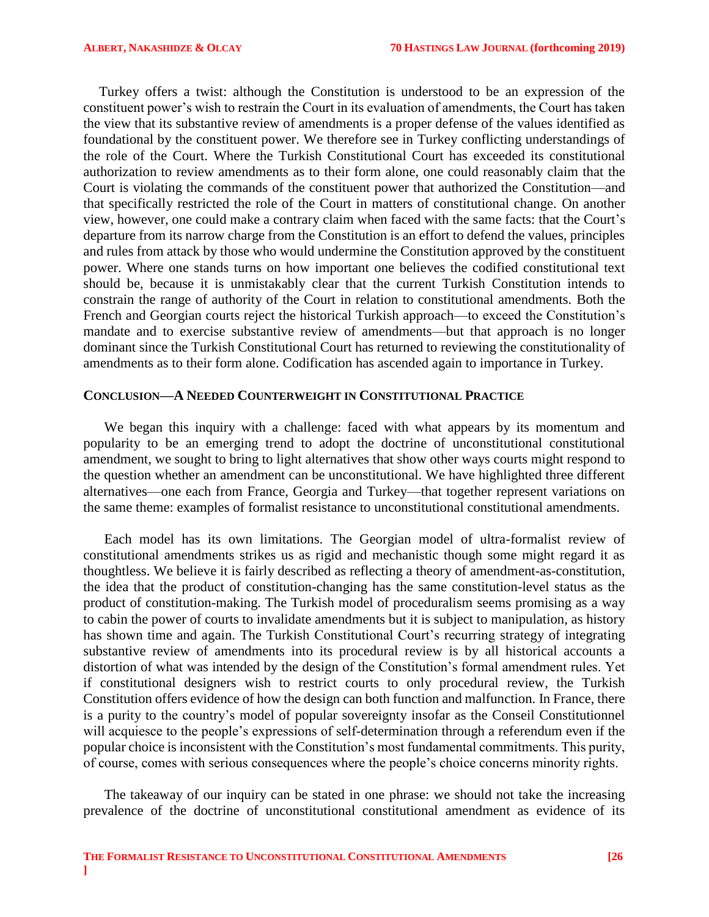Turkey offers a twist: although the Constitution is understood to be an expression of the constituent power's wish to restrain the Court in its evaluation of amendments, the Court has taken the view that its substantive review of amendments is a proper defense of the values identified as foundational by the constituent power. We therefore see in Turkey conflicting understandings of the role of the Court. Where the Turkish Constitutional Court has exceeded its constitutional authorization to review amendments as to their form alone, one could reasonably claim that the Court is violating the commands of the constituent power that authorized the Constitution—and that specifically restricted the role of the Court in matters of constitutional change. On another view, however, one could make a contrary claim when faced with the same facts: that the Court's departure from its narrow charge from the Constitution is an effort to defend the values, principles and rules from attack by those who would undermine the Constitution approved by the constituent power. Where one stands turns on how important one believes the codified constitutional text should be, because it is unmistakably clear that the current Turkish Constitution intends to constrain the range of authority of the Court in relation to constitutional amendments. Both the French and Georgian courts reject the historical Turkish approach—to exceed the Constitution's mandate and to exercise substantive review of amendments—but that approach is no longer dominant since the Turkish Constitutional Court has returned to reviewing the constitutionality of amendments as to their form alone. Codification has ascended again to importance in Turkey.

## <span id="page-25-0"></span>**CONCLUSION—A NEEDED COUNTERWEIGHT IN CONSTITUTIONAL PRACTICE**

We began this inquiry with a challenge: faced with what appears by its momentum and popularity to be an emerging trend to adopt the doctrine of unconstitutional constitutional amendment, we sought to bring to light alternatives that show other ways courts might respond to the question whether an amendment can be unconstitutional. We have highlighted three different alternatives—one each from France, Georgia and Turkey—that together represent variations on the same theme: examples of formalist resistance to unconstitutional constitutional amendments.

Each model has its own limitations. The Georgian model of ultra-formalist review of constitutional amendments strikes us as rigid and mechanistic though some might regard it as thoughtless. We believe it is fairly described as reflecting a theory of amendment-as-constitution, the idea that the product of constitution-changing has the same constitution-level status as the product of constitution-making. The Turkish model of proceduralism seems promising as a way to cabin the power of courts to invalidate amendments but it is subject to manipulation, as history has shown time and again. The Turkish Constitutional Court's recurring strategy of integrating substantive review of amendments into its procedural review is by all historical accounts a distortion of what was intended by the design of the Constitution's formal amendment rules. Yet if constitutional designers wish to restrict courts to only procedural review, the Turkish Constitution offers evidence of how the design can both function and malfunction. In France, there is a purity to the country's model of popular sovereignty insofar as the Conseil Constitutionnel will acquiesce to the people's expressions of self-determination through a referendum even if the popular choice is inconsistent with the Constitution's most fundamental commitments. This purity, of course, comes with serious consequences where the people's choice concerns minority rights.

The takeaway of our inquiry can be stated in one phrase: we should not take the increasing prevalence of the doctrine of unconstitutional constitutional amendment as evidence of its